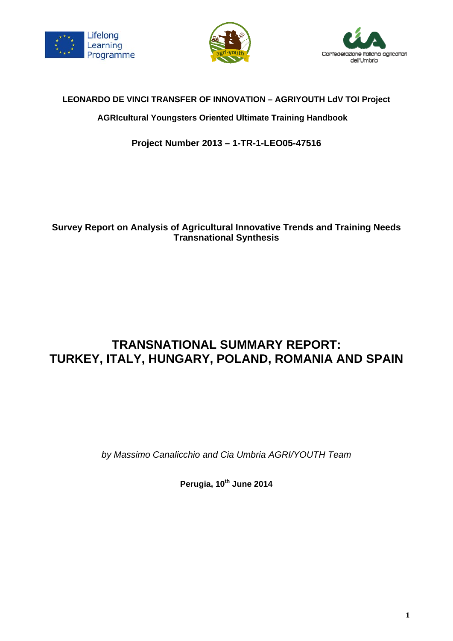





# **LEONARDO DE VINCI TRANSFER OF INNOVATION – AGRIYOUTH LdV TOI Project**

# **AGRIcultural Youngsters Oriented Ultimate Training Handbook**

**Project Number 2013 – 1-TR-1-LEO05-47516** 

# **Survey Report on Analysis of Agricultural Innovative Trends and Training Needs Transnational Synthesis**

# **TRANSNATIONAL SUMMARY REPORT: TURKEY, ITALY, HUNGARY, POLAND, ROMANIA AND SPAIN**

*by Massimo Canalicchio and Cia Umbria AGRI/YOUTH Team* 

**Perugia, 10th June 2014**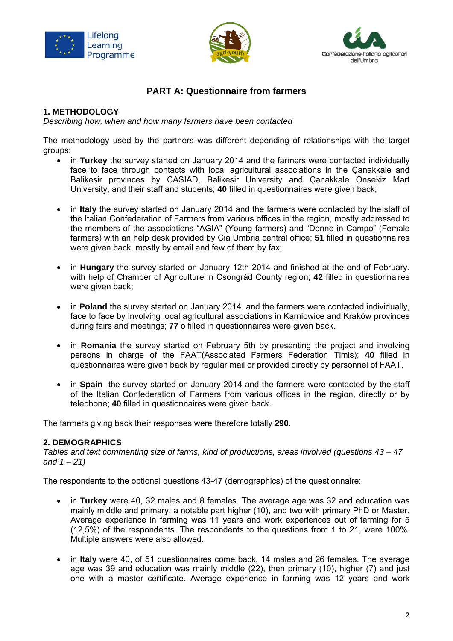





# **PART A: Questionnaire from farmers**

## **1. METHODOLOGY**

*Describing how, when and how many farmers have been contacted* 

The methodology used by the partners was different depending of relationships with the target groups:

- in **Turkey** the survey started on January 2014 and the farmers were contacted individually face to face through contacts with local agricultural associations in the Çanakkale and Balikesir provinces by CASIAD, Balikesir University and Çanakkale Onsekiz Mart University, and their staff and students; **40** filled in questionnaires were given back;
- in **Italy** the survey started on January 2014 and the farmers were contacted by the staff of the Italian Confederation of Farmers from various offices in the region, mostly addressed to the members of the associations "AGIA" (Young farmers) and "Donne in Campo" (Female farmers) with an help desk provided by Cia Umbria central office; **51** filled in questionnaires were given back, mostly by email and few of them by fax;
- in **Hungary** the survey started on January 12th 2014 and finished at the end of February. with help of Chamber of Agriculture in Csongrád County region; **42** filled in questionnaires were given back;
- in **Poland** the survey started on January 2014 and the farmers were contacted individually, face to face by involving local agricultural associations in Karniowice and Kraków provinces during fairs and meetings; **77** o filled in questionnaires were given back.
- in **Romania** the survey started on February 5th by presenting the project and involving persons in charge of the FAAT(Associated Farmers Federation Timis); **40** filled in questionnaires were given back by regular mail or provided directly by personnel of FAAT.
- in **Spain** the survey started on January 2014 and the farmers were contacted by the staff of the Italian Confederation of Farmers from various offices in the region, directly or by telephone; **40** filled in questionnaires were given back.

The farmers giving back their responses were therefore totally **290**.

## **2. DEMOGRAPHICS**

*Tables and text commenting size of farms, kind of productions, areas involved (questions 43 – 47 and 1 – 21)* 

The respondents to the optional questions 43-47 (demographics) of the questionnaire:

- in **Turkey** were 40, 32 males and 8 females. The average age was 32 and education was mainly middle and primary, a notable part higher (10), and two with primary PhD or Master. Average experience in farming was 11 years and work experiences out of farming for 5 (12,5%) of the respondents. The respondents to the questions from 1 to 21, were 100%. Multiple answers were also allowed.
- in **Italy** were 40, of 51 questionnaires come back, 14 males and 26 females. The average age was 39 and education was mainly middle (22), then primary (10), higher (7) and just one with a master certificate. Average experience in farming was 12 years and work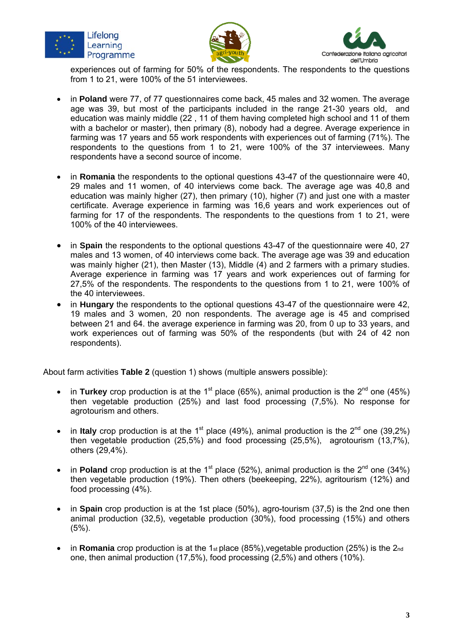





experiences out of farming for 50% of the respondents. The respondents to the questions from 1 to 21, were 100% of the 51 interviewees.

- in **Poland** were 77, of 77 questionnaires come back, 45 males and 32 women. The average age was 39, but most of the participants included in the range 21-30 years old, and education was mainly middle (22 , 11 of them having completed high school and 11 of them with a bachelor or master), then primary (8), nobody had a degree. Average experience in farming was 17 years and 55 work respondents with experiences out of farming (71%). The respondents to the questions from 1 to 21, were 100% of the 37 interviewees. Many respondents have a second source of income.
- in **Romania** the respondents to the optional questions 43-47 of the questionnaire were 40, 29 males and 11 women, of 40 interviews come back. The average age was 40,8 and education was mainly higher (27), then primary (10), higher (7) and just one with a master certificate. Average experience in farming was 16,6 years and work experiences out of farming for 17 of the respondents. The respondents to the questions from 1 to 21, were 100% of the 40 interviewees.
- in **Spain** the respondents to the optional questions 43-47 of the questionnaire were 40, 27 males and 13 women, of 40 interviews come back. The average age was 39 and education was mainly higher (21), then Master (13), Middle (4) and 2 farmers with a primary studies. Average experience in farming was 17 years and work experiences out of farming for 27,5% of the respondents. The respondents to the questions from 1 to 21, were 100% of the 40 interviewees.
- in **Hungary** the respondents to the optional questions 43-47 of the questionnaire were 42, 19 males and 3 women, 20 non respondents. The average age is 45 and comprised between 21 and 64. the average experience in farming was 20, from 0 up to 33 years, and work experiences out of farming was 50% of the respondents (but with 24 of 42 non respondents).

About farm activities **Table 2** (question 1) shows (multiple answers possible):

- in **Turkey** crop production is at the 1<sup>st</sup> place (65%), animal production is the  $2^{nd}$  one (45%) then vegetable production (25%) and last food processing (7,5%). No response for agrotourism and others.
- in **Italy** crop production is at the 1<sup>st</sup> place (49%), animal production is the  $2^{nd}$  one (39,2%) then vegetable production (25,5%) and food processing (25,5%), agrotourism (13,7%), others (29,4%).
- in **Poland** crop production is at the 1<sup>st</sup> place (52%), animal production is the  $2^{nd}$  one (34%) then vegetable production (19%). Then others (beekeeping, 22%), agritourism (12%) and food processing (4%).
- in **Spain** crop production is at the 1st place (50%), agro-tourism (37,5) is the 2nd one then animal production (32,5), vegetable production (30%), food processing (15%) and others (5%).
- in **Romania** crop production is at the 1<sub>st</sub> place (85%), vegetable production (25%) is the 2<sub>nd</sub> one, then animal production (17,5%), food processing (2,5%) and others (10%).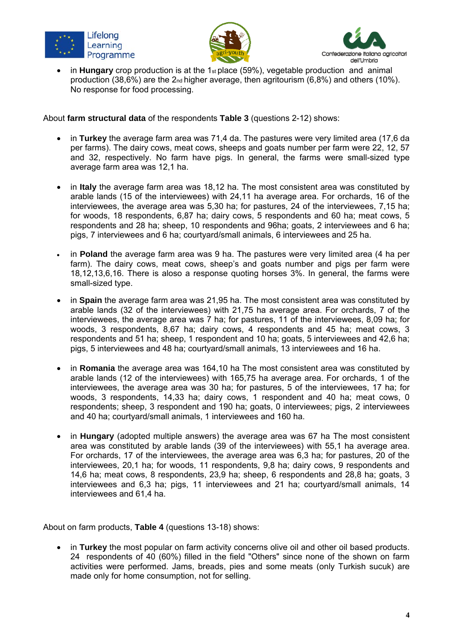





 in **Hungary** crop production is at the 1st place (59%), vegetable production and animal production (38,6%) are the  $2<sub>nd</sub>$  higher average, then agritourism (6,8%) and others (10%). No response for food processing.

About **farm structural data** of the respondents **Table 3** (questions 2-12) shows:

- in **Turkey** the average farm area was 71,4 da. The pastures were very limited area (17,6 da per farms). The dairy cows, meat cows, sheeps and goats number per farm were 22, 12, 57 and 32, respectively. No farm have pigs. In general, the farms were small-sized type average farm area was 12,1 ha.
- in **Italy** the average farm area was 18,12 ha. The most consistent area was constituted by arable lands (15 of the interviewees) with 24,11 ha average area. For orchards, 16 of the interviewees, the average area was 5,30 ha; for pastures, 24 of the interviewees, 7,15 ha; for woods, 18 respondents, 6,87 ha; dairy cows, 5 respondents and 60 ha; meat cows, 5 respondents and 28 ha; sheep, 10 respondents and 96ha; goats, 2 interviewees and 6 ha; pigs, 7 interviewees and 6 ha; courtyard/small animals, 6 interviewees and 25 ha.
- in **Poland** the average farm area was 9 ha. The pastures were very limited area (4 ha per farm). The dairy cows, meat cows, sheep's and goats number and pigs per farm were 18,12,13,6,16. There is aloso a response quoting horses 3%. In general, the farms were small-sized type.
- in Spain the average farm area was 21,95 ha. The most consistent area was constituted by arable lands (32 of the interviewees) with 21,75 ha average area. For orchards, 7 of the interviewees, the average area was 7 ha; for pastures, 11 of the interviewees, 8,09 ha; for woods, 3 respondents, 8,67 ha; dairy cows, 4 respondents and 45 ha; meat cows, 3 respondents and 51 ha; sheep, 1 respondent and 10 ha; goats, 5 interviewees and 42,6 ha; pigs, 5 interviewees and 48 ha; courtyard/small animals, 13 interviewees and 16 ha.
- in **Romania** the average area was 164,10 ha The most consistent area was constituted by arable lands (12 of the interviewees) with 165,75 ha average area. For orchards, 1 of the interviewees, the average area was 30 ha; for pastures, 5 of the interviewees, 17 ha; for woods, 3 respondents, 14,33 ha; dairy cows, 1 respondent and 40 ha; meat cows, 0 respondents; sheep, 3 respondent and 190 ha; goats, 0 interviewees; pigs, 2 interviewees and 40 ha; courtyard/small animals, 1 interviewees and 160 ha.
- in **Hungary** (adopted multiple answers) the average area was 67 ha The most consistent area was constituted by arable lands (39 of the interviewees) with 55,1 ha average area. For orchards, 17 of the interviewees, the average area was 6,3 ha; for pastures, 20 of the interviewees, 20,1 ha; for woods, 11 respondents, 9,8 ha; dairy cows, 9 respondents and 14,6 ha; meat cows, 8 respondents, 23,9 ha; sheep, 6 respondents and 28,8 ha; goats, 3 interviewees and 6,3 ha; pigs, 11 interviewees and 21 ha; courtyard/small animals, 14 interviewees and 61,4 ha.

About on farm products, **Table 4** (questions 13-18) shows:

 in **Turkey** the most popular on farm activity concerns olive oil and other oil based products. 24 respondents of 40 (60%) filled in the field "Others" since none of the shown on farm activities were performed. Jams, breads, pies and some meats (only Turkish sucuk) are made only for home consumption, not for selling.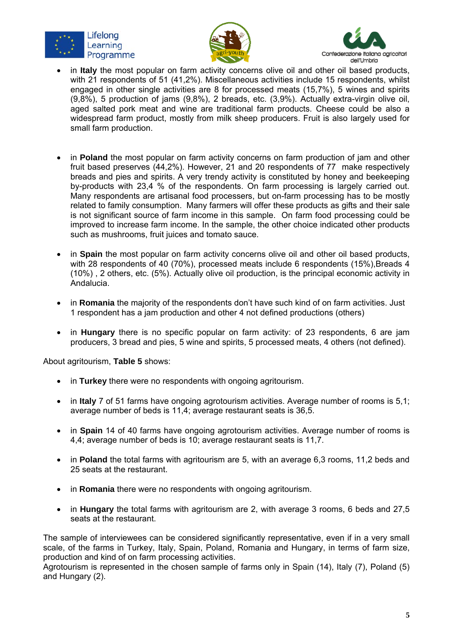





- in **Italy** the most popular on farm activity concerns olive oil and other oil based products, with 21 respondents of 51 (41,2%). Miscellaneous activities include 15 respondents, whilst engaged in other single activities are 8 for processed meats (15,7%), 5 wines and spirits (9,8%), 5 production of jams (9,8%), 2 breads, etc. (3,9%). Actually extra-virgin olive oil, aged salted pork meat and wine are traditional farm products. Cheese could be also a widespread farm product, mostly from milk sheep producers. Fruit is also largely used for small farm production.
- in **Poland** the most popular on farm activity concerns on farm production of jam and other fruit based preserves (44,2%). However, 21 and 20 respondents of 77 make respectively breads and pies and spirits. A very trendy activity is constituted by honey and beekeeping by-products with 23,4 % of the respondents. On farm processing is largely carried out. Many respondents are artisanal food processers, but on-farm processing has to be mostly related to family consumption. Many farmers will offer these products as gifts and their sale is not significant source of farm income in this sample. On farm food processing could be improved to increase farm income. In the sample, the other choice indicated other products such as mushrooms, fruit juices and tomato sauce.
- in **Spain** the most popular on farm activity concerns olive oil and other oil based products, with 28 respondents of 40 (70%), processed meats include 6 respondents (15%). Breads 4 (10%) , 2 others, etc. (5%). Actually olive oil production, is the principal economic activity in Andalucia.
- in **Romania** the majority of the respondents don't have such kind of on farm activities. Just 1 respondent has a jam production and other 4 not defined productions (others)
- in **Hungary** there is no specific popular on farm activity: of 23 respondents, 6 are jam producers, 3 bread and pies, 5 wine and spirits, 5 processed meats, 4 others (not defined).

About agritourism, **Table 5** shows:

- in **Turkey** there were no respondents with ongoing agritourism.
- in **Italy** 7 of 51 farms have ongoing agrotourism activities. Average number of rooms is 5,1; average number of beds is 11,4; average restaurant seats is 36,5.
- in **Spain** 14 of 40 farms have ongoing agrotourism activities. Average number of rooms is 4,4; average number of beds is 10; average restaurant seats is 11,7.
- in **Poland** the total farms with agritourism are 5, with an average 6,3 rooms, 11,2 beds and 25 seats at the restaurant.
- in **Romania** there were no respondents with ongoing agritourism.
- in **Hungary** the total farms with agritourism are 2, with average 3 rooms, 6 beds and 27,5 seats at the restaurant.

The sample of interviewees can be considered significantly representative, even if in a very small scale, of the farms in Turkey, Italy, Spain, Poland, Romania and Hungary, in terms of farm size, production and kind of on farm processing activities.

Agrotourism is represented in the chosen sample of farms only in Spain (14), Italy (7), Poland (5) and Hungary (2).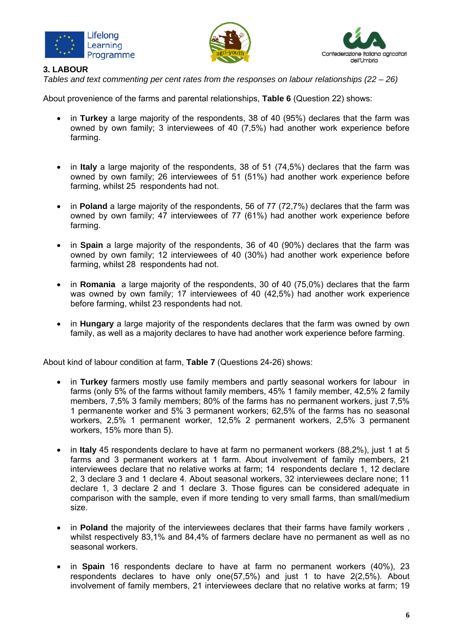





## **3. LABOUR**

*Tables and text commenting per cent rates from the responses on labour relationships (22 – 26)* 

About provenience of the farms and parental relationships, **Table 6** (Question 22) shows:

- in **Turkey** a large majority of the respondents, 38 of 40 (95%) declares that the farm was owned by own family; 3 interviewees of 40 (7,5%) had another work experience before farming.
- in Italy a large majority of the respondents, 38 of 51 (74,5%) declares that the farm was owned by own family; 26 interviewees of 51 (51%) had another work experience before farming, whilst 25 respondents had not.
- in **Poland** a large majority of the respondents, 56 of 77 (72,7%) declares that the farm was owned by own family; 47 interviewees of 77 (61%) had another work experience before farming.
- in **Spain** a large majority of the respondents, 36 of 40 (90%) declares that the farm was owned by own family; 12 interviewees of 40 (30%) had another work experience before farming, whilst 28 respondents had not.
- in **Romania** a large majority of the respondents, 30 of 40 (75,0%) declares that the farm was owned by own family; 17 interviewees of 40 (42,5%) had another work experience before farming, whilst 23 respondents had not.
- in **Hungary** a large majority of the respondents declares that the farm was owned by own family, as well as a majority declares to have had another work experience before farming.

About kind of labour condition at farm, **Table 7** (Questions 24-26) shows:

- in **Turkey** farmers mostly use family members and partly seasonal workers for labour in farms (only 5% of the farms without family members, 45% 1 family member, 42,5% 2 family members, 7,5% 3 family members; 80% of the farms has no permanent workers, just 7,5% 1 permanente worker and 5% 3 permanent workers; 62,5% of the farms has no seasonal workers, 2,5% 1 permanent worker, 12,5% 2 permanent workers, 2,5% 3 permanent workers, 15% more than 5).
- in **Italy** 45 respondents declare to have at farm no permanent workers (88,2%), just 1 at 5 farms and 3 permanent workers at 1 farm. About involvement of family members, 21 interviewees declare that no relative works at farm; 14 respondents declare 1, 12 declare 2, 3 declare 3 and 1 declare 4. About seasonal workers, 32 interviewees declare none; 11 declare 1, 3 declare 2 and 1 declare 3. Those figures can be considered adequate in comparison with the sample, even if more tending to very small farms, than small/medium size.
- in **Poland** the majority of the interviewees declares that their farms have family workers , whilst respectively 83,1% and 84,4% of farmers declare have no permanent as well as no seasonal workers.
- in Spain 16 respondents declare to have at farm no permanent workers (40%), 23 respondents declares to have only one(57,5%) and just 1 to have 2(2,5%). About involvement of family members, 21 interviewees declare that no relative works at farm; 19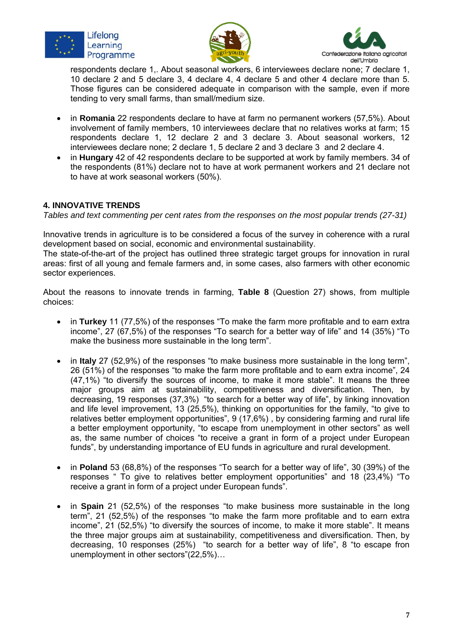





respondents declare 1,. About seasonal workers, 6 interviewees declare none; 7 declare 1, 10 declare 2 and 5 declare 3, 4 declare 4, 4 declare 5 and other 4 declare more than 5. Those figures can be considered adequate in comparison with the sample, even if more tending to very small farms, than small/medium size.

- in **Romania** 22 respondents declare to have at farm no permanent workers (57,5%). About involvement of family members, 10 interviewees declare that no relatives works at farm; 15 respondents declare 1, 12 declare 2 and 3 declare 3. About seasonal workers, 12 interviewees declare none; 2 declare 1, 5 declare 2 and 3 declare 3 and 2 declare 4.
- in **Hungary** 42 of 42 respondents declare to be supported at work by family members. 34 of the respondents (81%) declare not to have at work permanent workers and 21 declare not to have at work seasonal workers (50%).

## **4. INNOVATIVE TRENDS**

*Tables and text commenting per cent rates from the responses on the most popular trends (27-31)* 

Innovative trends in agriculture is to be considered a focus of the survey in coherence with a rural development based on social, economic and environmental sustainability.

The state-of-the-art of the project has outlined three strategic target groups for innovation in rural areas: first of all young and female farmers and, in some cases, also farmers with other economic sector experiences.

About the reasons to innovate trends in farming, **Table 8** (Question 27) shows, from multiple choices:

- in **Turkey** 11 (77,5%) of the responses "To make the farm more profitable and to earn extra income", 27 (67,5%) of the responses "To search for a better way of life" and 14 (35%) "To make the business more sustainable in the long term".
- in **Italy** 27 (52,9%) of the responses "to make business more sustainable in the long term", 26 (51%) of the responses "to make the farm more profitable and to earn extra income", 24 (47,1%) "to diversify the sources of income, to make it more stable". It means the three major groups aim at sustainability, competitiveness and diversification. Then, by decreasing, 19 responses (37,3%) "to search for a better way of life", by linking innovation and life level improvement, 13 (25,5%), thinking on opportunities for the family, "to give to relatives better employment opportunities", 9 (17,6%) , by considering farming and rural life a better employment opportunity, "to escape from unemployment in other sectors" as well as, the same number of choices "to receive a grant in form of a project under European funds", by understanding importance of EU funds in agriculture and rural development.
- in **Poland** 53 (68,8%) of the responses "To search for a better way of life", 30 (39%) of the responses " To give to relatives better employment opportunities" and 18 (23,4%) "To receive a grant in form of a project under European funds".
- in **Spain** 21 (52,5%) of the responses "to make business more sustainable in the long term", 21 (52,5%) of the responses "to make the farm more profitable and to earn extra income", 21 (52,5%) "to diversify the sources of income, to make it more stable". It means the three major groups aim at sustainability, competitiveness and diversification. Then, by decreasing, 10 responses (25%) "to search for a better way of life", 8 "to escape fron unemployment in other sectors"(22,5%)…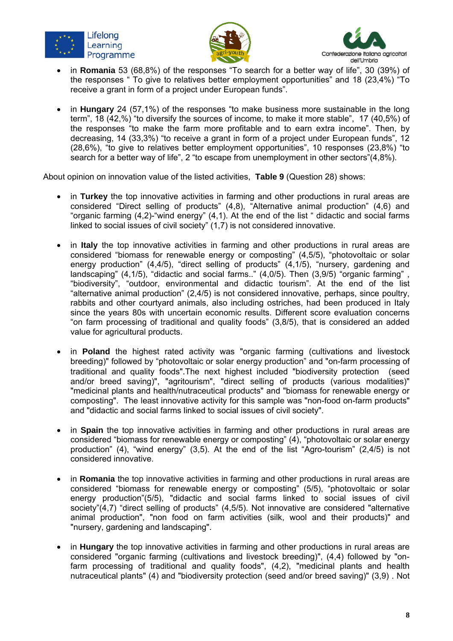





- in **Romania** 53 (68,8%) of the responses "To search for a better way of life", 30 (39%) of the responses " To give to relatives better employment opportunities" and 18 (23,4%) "To receive a grant in form of a project under European funds".
- in **Hungary** 24 (57,1%) of the responses "to make business more sustainable in the long term", 18 (42,%) "to diversify the sources of income, to make it more stable", 17 (40,5%) of the responses "to make the farm more profitable and to earn extra income". Then, by decreasing, 14 (33,3%) "to receive a grant in form of a project under European funds", 12 (28,6%), "to give to relatives better employment opportunities", 10 responses (23,8%) "to search for a better way of life", 2 "to escape from unemployment in other sectors"(4,8%).

About opinion on innovation value of the listed activities, **Table 9** (Question 28) shows:

- in **Turkey** the top innovative activities in farming and other productions in rural areas are considered "Direct selling of products" (4,8), "Alternative animal production" (4,6) and "organic farming (4,2)-"wind energy" (4,1). At the end of the list " didactic and social farms linked to social issues of civil society" (1,7) is not considered innovative.
- in **Italy** the top innovative activities in farming and other productions in rural areas are considered "biomass for renewable energy or composting" (4,5/5), "photovoltaic or solar energy production" (4,4/5), "direct selling of products" (4,1/5), "nursery, gardening and landscaping" (4,1/5), "didactic and social farms.." (4,0/5). Then (3,9/5) "organic farming" "biodiversity", "outdoor, environmental and didactic tourism". At the end of the list "alternative animal production" (2,4/5) is not considered innovative, perhaps, since poultry, rabbits and other courtyard animals, also including ostriches, had been produced in Italy since the years 80s with uncertain economic results. Different score evaluation concerns "on farm processing of traditional and quality foods" (3,8/5), that is considered an added value for agricultural products.
- in **Poland** the highest rated activity was "organic farming (cultivations and livestock breeding)" followed by "photovoltaic or solar energy production" and "on-farm processing of traditional and quality foods".The next highest included "biodiversity protection (seed and/or breed saving)", "agritourism", "direct selling of products (various modalities)" "medicinal plants and health/nutraceutical products" and "biomass for renewable energy or composting". The least innovative activity for this sample was "non-food on-farm products" and "didactic and social farms linked to social issues of civil society".
- in **Spain** the top innovative activities in farming and other productions in rural areas are considered "biomass for renewable energy or composting" (4), "photovoltaic or solar energy production" (4), "wind energy" (3,5). At the end of the list "Agro-tourism" (2,4/5) is not considered innovative.
- in **Romania** the top innovative activities in farming and other productions in rural areas are considered "biomass for renewable energy or composting" (5/5), "photovoltaic or solar energy production"(5/5), "didactic and social farms linked to social issues of civil society"(4,7) "direct selling of products" (4,5/5). Not innovative are considered "alternative animal production", "non food on farm activities (silk, wool and their products)" and "nursery, gardening and landscaping".
- in **Hungary** the top innovative activities in farming and other productions in rural areas are considered "organic farming (cultivations and livestock breeding)", (4,4) followed by "onfarm processing of traditional and quality foods", (4,2), "medicinal plants and health nutraceutical plants" (4) and "biodiversity protection (seed and/or breed saving)" (3,9) . Not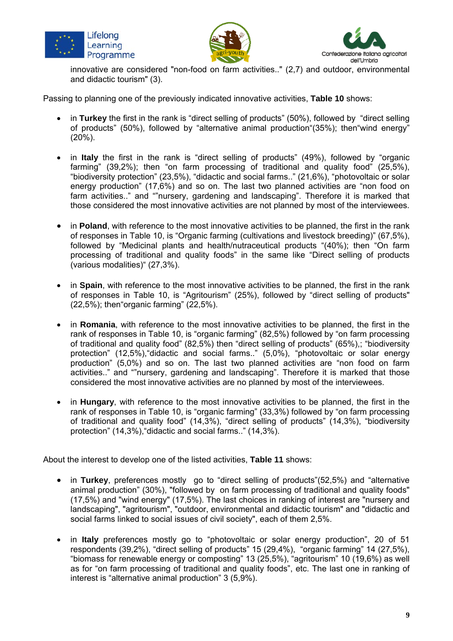





innovative are considered "non-food on farm activities.." (2,7) and outdoor, environmental and didactic tourism" (3).

Passing to planning one of the previously indicated innovative activities, **Table 10** shows:

- in **Turkey** the first in the rank is "direct selling of products" (50%), followed by "direct selling of products" (50%), followed by "alternative animal production"(35%); then"wind energy" (20%).
- in Italy the first in the rank is "direct selling of products" (49%), followed by "organic farming" (39,2%); then "on farm processing of traditional and quality food" (25,5%), "biodiversity protection" (23,5%), "didactic and social farms.." (21,6%), "photovoltaic or solar energy production" (17,6%) and so on. The last two planned activities are "non food on farm activities.." and ""nursery, gardening and landscaping". Therefore it is marked that those considered the most innovative activities are not planned by most of the interviewees.
- in **Poland**, with reference to the most innovative activities to be planned, the first in the rank of responses in Table 10, is "Organic farming (cultivations and livestock breeding)" (67,5%), followed by "Medicinal plants and health/nutraceutical products "(40%); then "On farm processing of traditional and quality foods" in the same like "Direct selling of products (various modalities)" (27,3%).
- in **Spain**, with reference to the most innovative activities to be planned, the first in the rank of responses in Table 10, is "Agritourism" (25%), followed by "direct selling of products" (22,5%); then"organic farming" (22,5%).
- in **Romania**, with reference to the most innovative activities to be planned, the first in the rank of responses in Table 10, is "organic farming" (82,5%) followed by "on farm processing of traditional and quality food" (82,5%) then "direct selling of products" (65%),; "biodiversity protection" (12,5%), "didactic and social farms.." (5,0%), "photovoltaic or solar energy production" (5,0%) and so on. The last two planned activities are "non food on farm activities.." and ""nursery, gardening and landscaping". Therefore it is marked that those considered the most innovative activities are no planned by most of the interviewees.
- in **Hungary**, with reference to the most innovative activities to be planned, the first in the rank of responses in Table 10, is "organic farming" (33,3%) followed by "on farm processing of traditional and quality food" (14,3%), "direct selling of products" (14,3%), "biodiversity protection" (14,3%),"didactic and social farms.." (14,3%).

About the interest to develop one of the listed activities, **Table 11** shows:

- in **Turkey**, preferences mostly go to "direct selling of products"(52,5%) and "alternative animal production" (30%), "followed by on farm processing of traditional and quality foods" (17,5%) and "wind energy" (17,5%). The last choices in ranking of interest are "nursery and landscaping", "agritourism", "outdoor, environmental and didactic tourism" and "didactic and social farms linked to social issues of civil society", each of them 2,5%.
- in **Italy** preferences mostly go to "photovoltaic or solar energy production", 20 of 51 respondents (39,2%), "direct selling of products" 15 (29,4%), "organic farming" 14 (27,5%), "biomass for renewable energy or composting" 13 (25,5%), "agritourism" 10 (19,6%) as well as for "on farm processing of traditional and quality foods", etc. The last one in ranking of interest is "alternative animal production" 3 (5,9%).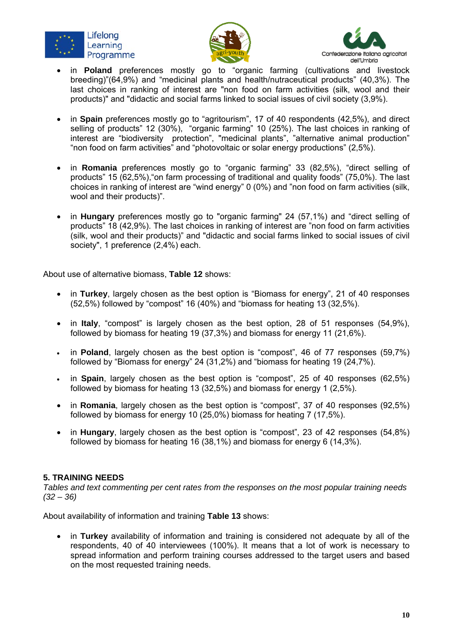





- in **Poland** preferences mostly go to "organic farming (cultivations and livestock breeding)"(64,9%) and "medicinal plants and health/nutraceutical products" (40,3%). The last choices in ranking of interest are "non food on farm activities (silk, wool and their products)" and "didactic and social farms linked to social issues of civil society (3,9%).
- in **Spain** preferences mostly go to "agritourism", 17 of 40 respondents (42,5%), and direct selling of products" 12 (30%), "organic farming" 10 (25%). The last choices in ranking of interest are "biodiversity protection", "medicinal plants", "alternative animal production" "non food on farm activities" and "photovoltaic or solar energy productions" (2,5%).
- in **Romania** preferences mostly go to "organic farming" 33 (82,5%), "direct selling of products" 15 (62,5%),"on farm processing of traditional and quality foods" (75,0%). The last choices in ranking of interest are "wind energy" 0 (0%) and "non food on farm activities (silk, wool and their products)".
- in **Hungary** preferences mostly go to "organic farming" 24 (57,1%) and "direct selling of products" 18 (42,9%). The last choices in ranking of interest are "non food on farm activities (silk, wool and their products)" and "didactic and social farms linked to social issues of civil society", 1 preference (2,4%) each.

About use of alternative biomass, **Table 12** shows:

- in **Turkey**, largely chosen as the best option is "Biomass for energy", 21 of 40 responses (52,5%) followed by "compost" 16 (40%) and "biomass for heating 13 (32,5%).
- in **Italy**, "compost" is largely chosen as the best option, 28 of 51 responses (54,9%), followed by biomass for heating 19 (37,3%) and biomass for energy 11 (21,6%).
- in **Poland**, largely chosen as the best option is "compost", 46 of 77 responses (59,7%) followed by "Biomass for energy" 24 (31,2%) and "biomass for heating 19 (24,7%).
- in **Spain**, largely chosen as the best option is "compost", 25 of 40 responses (62,5%) followed by biomass for heating 13 (32,5%) and biomass for energy 1 (2,5%).
- in **Romania**, largely chosen as the best option is "compost", 37 of 40 responses (92,5%) followed by biomass for energy 10 (25,0%) biomass for heating 7 (17,5%).
- in **Hungary**, largely chosen as the best option is "compost", 23 of 42 responses (54,8%) followed by biomass for heating 16 (38,1%) and biomass for energy 6 (14,3%).

#### **5. TRAINING NEEDS**

*Tables and text commenting per cent rates from the responses on the most popular training needs (32 – 36)* 

About availability of information and training **Table 13** shows:

 in **Turkey** availability of information and training is considered not adequate by all of the respondents, 40 of 40 interviewees (100%). It means that a lot of work is necessary to spread information and perform training courses addressed to the target users and based on the most requested training needs.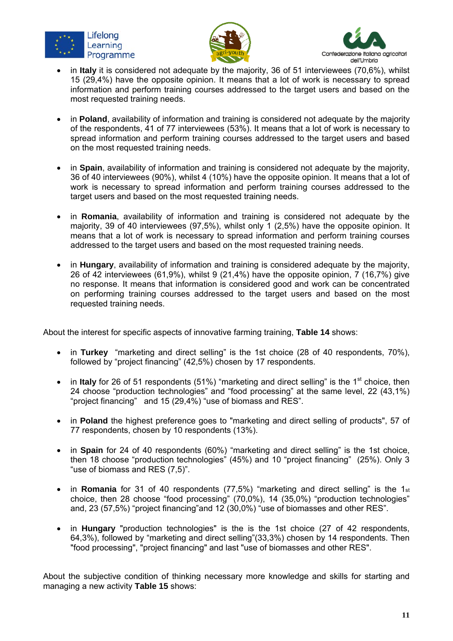





- in **Italy** it is considered not adequate by the majority, 36 of 51 interviewees (70,6%), whilst 15 (29,4%) have the opposite opinion. It means that a lot of work is necessary to spread information and perform training courses addressed to the target users and based on the most requested training needs.
- in **Poland**, availability of information and training is considered not adequate by the majority of the respondents, 41 of 77 interviewees (53%). It means that a lot of work is necessary to spread information and perform training courses addressed to the target users and based on the most requested training needs.
- in **Spain**, availability of information and training is considered not adequate by the majority, 36 of 40 interviewees (90%), whilst 4 (10%) have the opposite opinion. It means that a lot of work is necessary to spread information and perform training courses addressed to the target users and based on the most requested training needs.
- in **Romania**, availability of information and training is considered not adequate by the majority, 39 of 40 interviewees (97,5%), whilst only 1 (2,5%) have the opposite opinion. It means that a lot of work is necessary to spread information and perform training courses addressed to the target users and based on the most requested training needs.
- in **Hungary**, availability of information and training is considered adequate by the majority, 26 of 42 interviewees (61,9%), whilst 9 (21,4%) have the opposite opinion,  $\overline{7}$  (16,7%) give no response. It means that information is considered good and work can be concentrated on performing training courses addressed to the target users and based on the most requested training needs.

About the interest for specific aspects of innovative farming training, **Table 14** shows:

- in **Turkey** "marketing and direct selling" is the 1st choice (28 of 40 respondents, 70%), followed by "project financing" (42,5%) chosen by 17 respondents.
- in Italy for 26 of 51 respondents (51%) "marketing and direct selling" is the 1<sup>st</sup> choice, then 24 choose "production technologies" and "food processing" at the same level, 22 (43,1%) "project financing" and 15 (29,4%) "use of biomass and RES".
- in **Poland** the highest preference goes to "marketing and direct selling of products", 57 of 77 respondents, chosen by 10 respondents (13%).
- in **Spain** for 24 of 40 respondents (60%) "marketing and direct selling" is the 1st choice, then 18 choose "production technologies" (45%) and 10 "project financing" (25%). Only 3 "use of biomass and RES (7,5)".
- in **Romania** for 31 of 40 respondents (77,5%) "marketing and direct selling" is the 1st choice, then 28 choose "food processing" (70,0%), 14 (35,0%) "production technologies" and, 23 (57,5%) "project financing"and 12 (30,0%) "use of biomasses and other RES".
- in **Hungary** "production technologies" is the is the 1st choice (27 of 42 respondents, 64,3%), followed by "marketing and direct selling"(33,3%) chosen by 14 respondents. Then "food processing", "project financing" and last "use of biomasses and other RES".

About the subjective condition of thinking necessary more knowledge and skills for starting and managing a new activity **Table 15** shows: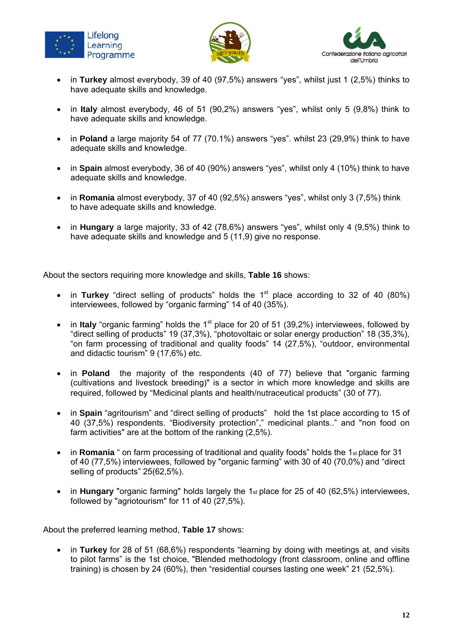





- in **Turkey** almost everybody, 39 of 40 (97,5%) answers "yes", whilst just 1 (2,5%) thinks to have adequate skills and knowledge.
- in **Italy** almost everybody, 46 of 51 (90,2%) answers "yes", whilst only 5 (9,8%) think to have adequate skills and knowledge.
- in **Poland** a large majority 54 of 77 (70.1%) answers "yes". whilst 23 (29,9%) think to have adequate skills and knowledge.
- in **Spain** almost everybody, 36 of 40 (90%) answers "yes", whilst only 4 (10%) think to have adequate skills and knowledge.
- in **Romania** almost everybody, 37 of 40 (92,5%) answers "yes", whilst only 3 (7,5%) think to have adequate skills and knowledge.
- in **Hungary** a large majority, 33 of 42 (78,6%) answers "yes", whilst only 4 (9,5%) think to have adequate skills and knowledge and 5 (11,9) give no response.

About the sectors requiring more knowledge and skills, **Table 16** shows:

- in **Turkey** "direct selling of products" holds the 1<sup>st</sup> place according to 32 of 40 (80%) interviewees, followed by "organic farming" 14 of 40 (35%).
- in Italy "organic farming" holds the 1<sup>st</sup> place for 20 of 51 (39,2%) interviewees, followed by "direct selling of products" 19 (37,3%), "photovoltaic or solar energy production" 18 (35,3%), "on farm processing of traditional and quality foods" 14 (27,5%), "outdoor, environmental and didactic tourism" 9 (17,6%) etc.
- in **Poland** the majority of the respondents (40 of 77) believe that "organic farming (cultivations and livestock breeding)" is a sector in which more knowledge and skills are required, followed by "Medicinal plants and health/nutraceutical products" (30 of 77).
- in **Spain** "agritourism" and "direct selling of products" hold the 1st place according to 15 of 40 (37,5%) respondents. "Biodiversity protection"," medicinal plants.." and "non food on farm activities" are at the bottom of the ranking (2,5%).
- in **Romania** " on farm processing of traditional and quality foods" holds the 1st place for 31 of 40 (77,5%) interviewees, followed by "organic farming" with 30 of 40 (70,0%) and "direct selling of products" 25(62,5%).
- in **Hungary** "organic farming" holds largely the 1st place for 25 of 40 (62,5%) interviewees, followed by "agriotourism" for 11 of 40 (27,5%).

About the preferred learning method, **Table 17** shows:

 in **Turkey** for 28 of 51 (68,6%) respondents "learning by doing with meetings at, and visits to pilot farms" is the 1st choice, "Blended methodology (front classroom, online and offline training) is chosen by 24 (60%), then "residential courses lasting one week" 21 (52,5%).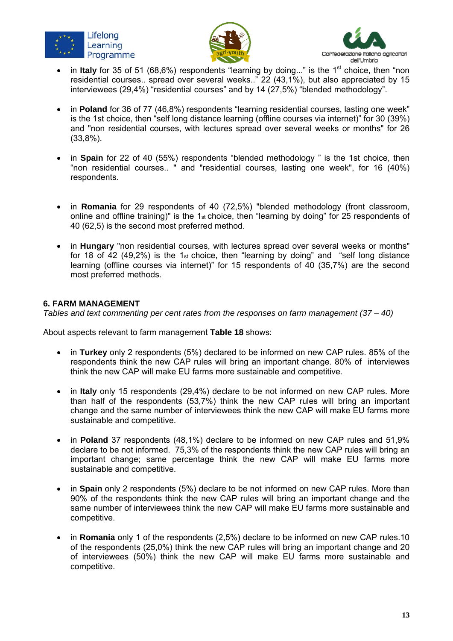





- in Italy for 35 of 51 (68,6%) respondents "learning by doing..." is the 1<sup>st</sup> choice, then "non residential courses.. spread over several weeks.." 22 (43,1%), but also appreciated by 15 interviewees (29,4%) "residential courses" and by 14 (27,5%) "blended methodology".
- in **Poland** for 36 of 77 (46,8%) respondents "learning residential courses, lasting one week" is the 1st choice, then "self long distance learning (offline courses via internet)" for 30 (39%) and "non residential courses, with lectures spread over several weeks or months" for 26 (33,8%).
- in Spain for 22 of 40 (55%) respondents "blended methodology " is the 1st choice, then "non residential courses.. " and "residential courses, lasting one week", for 16 (40%) respondents.
- in **Romania** for 29 respondents of 40 (72,5%) "blended methodology (front classroom, online and offline training)" is the 1st choice, then "learning by doing" for 25 respondents of 40 (62,5) is the second most preferred method.
- in **Hungary** "non residential courses, with lectures spread over several weeks or months" for 18 of 42 (49,2%) is the 1st choice, then "learning by doing" and "self long distance learning (offline courses via internet)" for 15 respondents of 40 (35,7%) are the second most preferred methods.

#### **6. FARM MANAGEMENT**

*Tables and text commenting per cent rates from the responses on farm management (37 – 40)* 

About aspects relevant to farm management **Table 18** shows:

- in **Turkey** only 2 respondents (5%) declared to be informed on new CAP rules. 85% of the respondents think the new CAP rules will bring an important change. 80% of interviewes think the new CAP will make EU farms more sustainable and competitive.
- in **Italy** only 15 respondents (29,4%) declare to be not informed on new CAP rules. More than half of the respondents (53,7%) think the new CAP rules will bring an important change and the same number of interviewees think the new CAP will make EU farms more sustainable and competitive.
- in **Poland** 37 respondents (48,1%) declare to be informed on new CAP rules and 51,9% declare to be not informed. 75,3% of the respondents think the new CAP rules will bring an important change; same percentage think the new CAP will make EU farms more sustainable and competitive.
- in **Spain** only 2 respondents (5%) declare to be not informed on new CAP rules. More than 90% of the respondents think the new CAP rules will bring an important change and the same number of interviewees think the new CAP will make EU farms more sustainable and competitive.
- in **Romania** only 1 of the respondents (2,5%) declare to be informed on new CAP rules.10 of the respondents (25,0%) think the new CAP rules will bring an important change and 20 of interviewees (50%) think the new CAP will make EU farms more sustainable and competitive.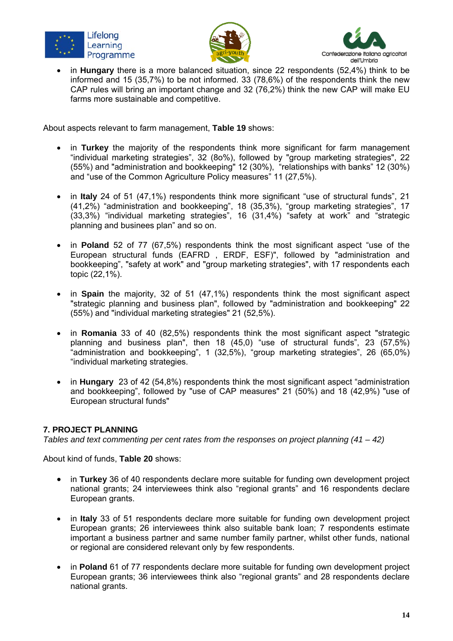





 in **Hungary** there is a more balanced situation, since 22 respondents (52,4%) think to be informed and 15 (35,7%) to be not informed. 33 (78,6%) of the respondents think the new CAP rules will bring an important change and 32 (76,2%) think the new CAP will make EU farms more sustainable and competitive.

About aspects relevant to farm management, **Table 19** shows:

- in **Turkey** the majority of the respondents think more significant for farm management "individual marketing strategies", 32 (8o%), followed by "group marketing strategies", 22 (55%) and "administration and bookkeeping" 12 (30%), "relationships with banks" 12 (30%) and "use of the Common Agriculture Policy measures" 11 (27,5%).
- in **Italy** 24 of 51 (47,1%) respondents think more significant "use of structural funds", 21 (41,2%) "administration and bookkeeping", 18 (35,3%), "group marketing strategies", 17 (33,3%) "individual marketing strategies", 16 (31,4%) "safety at work" and "strategic planning and businees plan" and so on.
- in **Poland** 52 of 77 (67,5%) respondents think the most significant aspect "use of the European structural funds (EAFRD , ERDF, ESF)", followed by "administration and bookkeeping", "safety at work" and "group marketing strategies", with 17 respondents each topic (22,1%).
- in Spain the majority, 32 of 51 (47,1%) respondents think the most significant aspect "strategic planning and business plan", followed by "administration and bookkeeping" 22 (55%) and "individual marketing strategies" 21 (52,5%).
- in **Romania** 33 of 40 (82,5%) respondents think the most significant aspect "strategic planning and business plan", then 18 (45,0) "use of structural funds", 23 (57,5%) "administration and bookkeeping", 1 (32,5%), "group marketing strategies", 26 (65,0%) "individual marketing strategies.
- in **Hungary** 23 of 42 (54,8%) respondents think the most significant aspect "administration and bookkeeping", followed by "use of CAP measures" 21 (50%) and 18 (42,9%) "use of European structural funds"

## **7. PROJECT PLANNING**

*Tables and text commenting per cent rates from the responses on project planning (41 – 42)*

About kind of funds, **Table 20** shows:

- in **Turkey** 36 of 40 respondents declare more suitable for funding own development project national grants; 24 interviewees think also "regional grants" and 16 respondents declare European grants.
- in **Italy** 33 of 51 respondents declare more suitable for funding own development project European grants; 26 interviewees think also suitable bank loan; 7 respondents estimate important a business partner and same number family partner, whilst other funds, national or regional are considered relevant only by few respondents.
- in **Poland** 61 of 77 respondents declare more suitable for funding own development project European grants; 36 interviewees think also "regional grants" and 28 respondents declare national grants.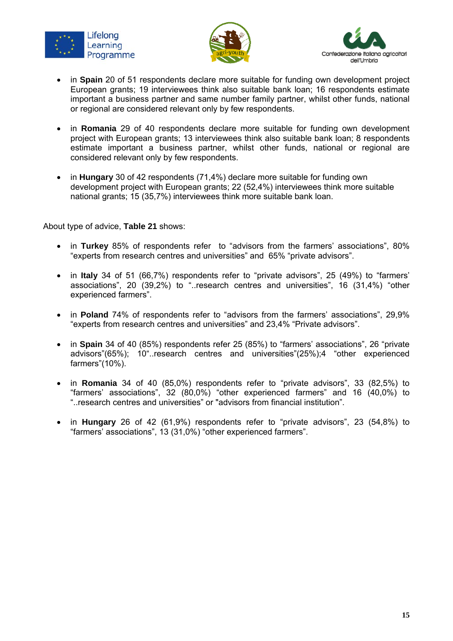





- in **Spain** 20 of 51 respondents declare more suitable for funding own development project European grants; 19 interviewees think also suitable bank loan; 16 respondents estimate important a business partner and same number family partner, whilst other funds, national or regional are considered relevant only by few respondents.
- in **Romania** 29 of 40 respondents declare more suitable for funding own development project with European grants; 13 interviewees think also suitable bank loan; 8 respondents estimate important a business partner, whilst other funds, national or regional are considered relevant only by few respondents.
- in **Hungary** 30 of 42 respondents (71,4%) declare more suitable for funding own development project with European grants; 22 (52,4%) interviewees think more suitable national grants; 15 (35,7%) interviewees think more suitable bank loan.

About type of advice, **Table 21** shows:

- in **Turkey** 85% of respondents refer to "advisors from the farmers' associations", 80% "experts from research centres and universities" and 65% "private advisors".
- in **Italy** 34 of 51 (66,7%) respondents refer to "private advisors", 25 (49%) to "farmers' associations", 20 (39,2%) to "..research centres and universities", 16 (31,4%) "other experienced farmers".
- in **Poland** 74% of respondents refer to "advisors from the farmers' associations", 29,9% "experts from research centres and universities" and 23,4% "Private advisors".
- in **Spain** 34 of 40 (85%) respondents refer 25 (85%) to "farmers' associations", 26 "private advisors"(65%); 10"..research centres and universities"(25%);4 "other experienced farmers"(10%).
- in **Romania** 34 of 40 (85,0%) respondents refer to "private advisors", 33 (82,5%) to "farmers' associations", 32 (80,0%) "other experienced farmers" and 16 (40,0%) to "..research centres and universities" or "advisors from financial institution".
- in **Hungary** 26 of 42 (61,9%) respondents refer to "private advisors", 23 (54,8%) to "farmers' associations", 13 (31,0%) "other experienced farmers".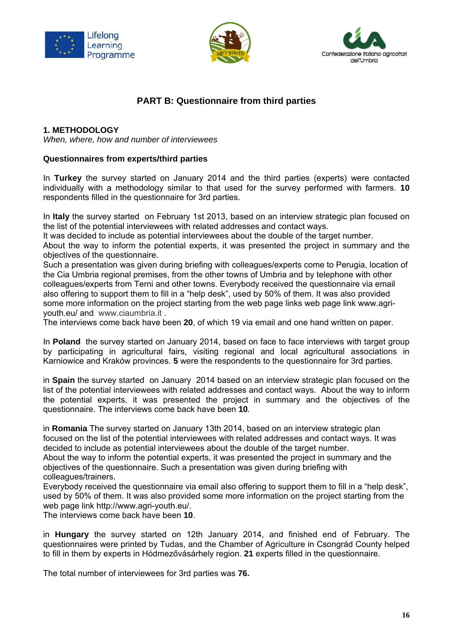





# **PART B: Questionnaire from third parties**

#### **1. METHODOLOGY**

*When, where, how and number of interviewees* 

#### **Questionnaires from experts/third parties**

In **Turkey** the survey started on January 2014 and the third parties (experts) were contacted individually with a methodology similar to that used for the survey performed with farmers. **10** respondents filled in the questionnaire for 3rd parties.

In **Italy** the survey started on February 1st 2013, based on an interview strategic plan focused on the list of the potential interviewees with related addresses and contact ways.

It was decided to include as potential interviewees about the double of the target number.

About the way to inform the potential experts, it was presented the project in summary and the objectives of the questionnaire.

Such a presentation was given during briefing with colleagues/experts come to Perugia, location of the Cia Umbria regional premises, from the other towns of Umbria and by telephone with other colleagues/experts from Terni and other towns. Everybody received the questionnaire via email also offering to support them to fill in a "help desk", used by 50% of them. It was also provided some more information on the project starting from the web page links web page link www.agriyouth.eu/ and www.ciaumbria.it .

The interviews come back have been **20**, of which 19 via email and one hand written on paper.

In **Poland** the survey started on January 2014, based on face to face interviews with target group by participating in agricultural fairs, visiting regional and local agricultural associations in Karniowice and Kraków provinces. **5** were the respondents to the questionnaire for 3rd parties.

in **Spain** the survey started on January 2014 based on an interview strategic plan focused on the list of the potential interviewees with related addresses and contact ways. About the way to inform the potential experts, it was presented the project in summary and the objectives of the questionnaire. The interviews come back have been **10**.

in **Romania** The survey started on January 13th 2014, based on an interview strategic plan focused on the list of the potential interviewees with related addresses and contact ways. It was decided to include as potential interviewees about the double of the target number.

About the way to inform the potential experts, it was presented the project in summary and the objectives of the questionnaire. Such a presentation was given during briefing with colleagues/trainers.

Everybody received the questionnaire via email also offering to support them to fill in a "help desk", used by 50% of them. It was also provided some more information on the project starting from the web page link http://www.agri-youth.eu/.

The interviews come back have been **10**.

in **Hungary** the survey started on 12th January 2014, and finished end of February. The questionnaires were printed by Tudas, and the Chamber of Agriculture in Csongrád County helped to fill in them by experts in Hódmezővásárhely region. **21** experts filled in the questionnaire.

The total number of interviewees for 3rd parties was **76.**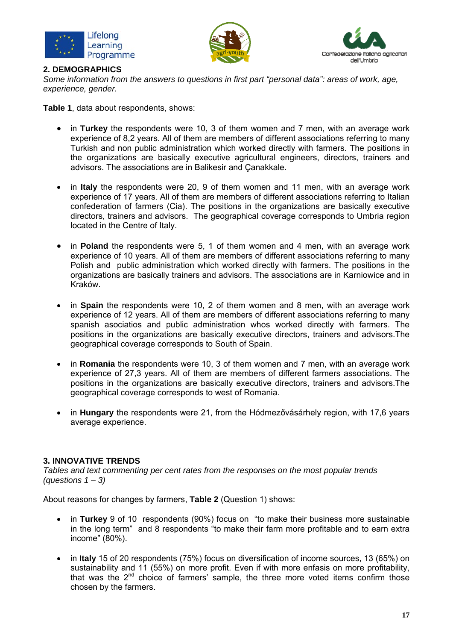





#### **2. DEMOGRAPHICS**

*Some information from the answers to questions in first part "personal data": areas of work, age, experience, gender.* 

**Table 1**, data about respondents, shows:

- in **Turkey** the respondents were 10, 3 of them women and 7 men, with an average work experience of 8,2 years. All of them are members of different associations referring to many Turkish and non public administration which worked directly with farmers. The positions in the organizations are basically executive agricultural engineers, directors, trainers and advisors. The associations are in Balikesir and Çanakkale.
- in **Italy** the respondents were 20, 9 of them women and 11 men, with an average work experience of 17 years. All of them are members of different associations referring to Italian confederation of farmers (Cia). The positions in the organizations are basically executive directors, trainers and advisors. The geographical coverage corresponds to Umbria region located in the Centre of Italy.
- in **Poland** the respondents were 5, 1 of them women and 4 men, with an average work experience of 10 years. All of them are members of different associations referring to many Polish and public administration which worked directly with farmers. The positions in the organizations are basically trainers and advisors. The associations are in Karniowice and in Kraków.
- in **Spain** the respondents were 10, 2 of them women and 8 men, with an average work experience of 12 years. All of them are members of different associations referring to many spanish asociatios and public administration whos worked directly with farmers. The positions in the organizations are basically executive directors, trainers and advisors.The geographical coverage corresponds to South of Spain.
- in **Romania** the respondents were 10, 3 of them women and 7 men, with an average work experience of 27,3 years. All of them are members of different farmers associations. The positions in the organizations are basically executive directors, trainers and advisors.The geographical coverage corresponds to west of Romania.
- in **Hungary** the respondents were 21, from the Hódmezővásárhely region, with 17,6 years average experience.

## **3. INNOVATIVE TRENDS**

*Tables and text commenting per cent rates from the responses on the most popular trends (questions 1 – 3)* 

About reasons for changes by farmers, **Table 2** (Question 1) shows:

- in **Turkey** 9 of 10 respondents (90%) focus on "to make their business more sustainable in the long term" and 8 respondents "to make their farm more profitable and to earn extra income" (80%).
- in **Italy** 15 of 20 respondents (75%) focus on diversification of income sources, 13 (65%) on sustainability and 11 (55%) on more profit. Even if with more enfasis on more profitability, that was the  $2^{nd}$  choice of farmers' sample, the three more voted items confirm those chosen by the farmers.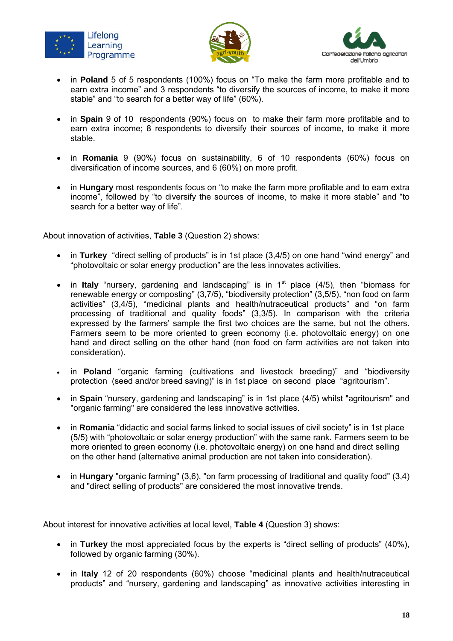





- in **Poland** 5 of 5 respondents (100%) focus on "To make the farm more profitable and to earn extra income" and 3 respondents "to diversify the sources of income, to make it more stable" and "to search for a better way of life" (60%).
- in **Spain** 9 of 10 respondents (90%) focus on to make their farm more profitable and to earn extra income; 8 respondents to diversify their sources of income, to make it more stable.
- in **Romania** 9 (90%) focus on sustainability, 6 of 10 respondents (60%) focus on diversification of income sources, and 6 (60%) on more profit.
- in **Hungary** most respondents focus on "to make the farm more profitable and to earn extra income", followed by "to diversify the sources of income, to make it more stable" and "to search for a better way of life".

About innovation of activities, **Table 3** (Question 2) shows:

- in **Turkey** "direct selling of products" is in 1st place (3,4/5) on one hand "wind energy" and "photovoltaic or solar energy production" are the less innovates activities.
- in **Italy** "nursery, gardening and landscaping" is in 1<sup>st</sup> place (4/5), then "biomass for renewable energy or composting" (3,7/5), "biodiversity protection" (3,5/5), "non food on farm activities" (3,4/5), "medicinal plants and health/nutraceutical products" and "on farm processing of traditional and quality foods" (3,3/5). In comparison with the criteria expressed by the farmers' sample the first two choices are the same, but not the others. Farmers seem to be more oriented to green economy (i.e. photovoltaic energy) on one hand and direct selling on the other hand (non food on farm activities are not taken into consideration).
- in **Poland** "organic farming (cultivations and livestock breeding)" and "biodiversity protection (seed and/or breed saving)" is in 1st place on second place "agritourism".
- in **Spain** "nursery, gardening and landscaping" is in 1st place (4/5) whilst "agritourism" and "organic farming" are considered the less innovative activities.
- in **Romania** "didactic and social farms linked to social issues of civil society" is in 1st place (5/5) with "photovoltaic or solar energy production" with the same rank. Farmers seem to be more oriented to green economy (i.e. photovoltaic energy) on one hand and direct selling on the other hand (alternative animal production are not taken into consideration).
- in **Hungary** "organic farming" (3,6), "on farm processing of traditional and quality food" (3,4) and "direct selling of products" are considered the most innovative trends.

About interest for innovative activities at local level, **Table 4** (Question 3) shows:

- in **Turkey** the most appreciated focus by the experts is "direct selling of products" (40%), followed by organic farming (30%).
- in **Italy** 12 of 20 respondents (60%) choose "medicinal plants and health/nutraceutical products" and "nursery, gardening and landscaping" as innovative activities interesting in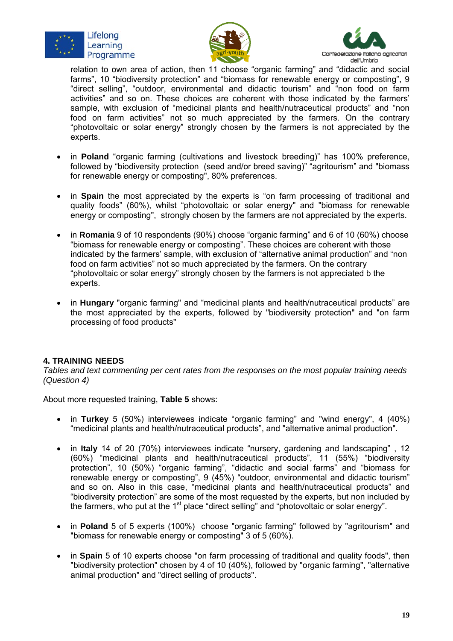





relation to own area of action, then 11 choose "organic farming" and "didactic and social farms", 10 "biodiversity protection" and "biomass for renewable energy or composting", 9 "direct selling", "outdoor, environmental and didactic tourism" and "non food on farm activities" and so on. These choices are coherent with those indicated by the farmers' sample, with exclusion of "medicinal plants and health/nutraceutical products" and "non food on farm activities" not so much appreciated by the farmers. On the contrary "photovoltaic or solar energy" strongly chosen by the farmers is not appreciated by the experts.

- in **Poland** "organic farming (cultivations and livestock breeding)" has 100% preference, followed by "biodiversity protection (seed and/or breed saving)" "agritourism" and "biomass for renewable energy or composting", 80% preferences.
- in Spain the most appreciated by the experts is "on farm processing of traditional and quality foods" (60%), whilst "photovoltaic or solar energy" and "biomass for renewable energy or composting", strongly chosen by the farmers are not appreciated by the experts.
- in **Romania** 9 of 10 respondents (90%) choose "organic farming" and 6 of 10 (60%) choose "biomass for renewable energy or composting". These choices are coherent with those indicated by the farmers' sample, with exclusion of "alternative animal production" and "non food on farm activities" not so much appreciated by the farmers. On the contrary "photovoltaic or solar energy" strongly chosen by the farmers is not appreciated b the experts.
- in **Hungary** "organic farming" and "medicinal plants and health/nutraceutical products" are the most appreciated by the experts, followed by "biodiversity protection" and "on farm processing of food products"

## **4. TRAINING NEEDS**

*Tables and text commenting per cent rates from the responses on the most popular training needs (Question 4)* 

About more requested training, **Table 5** shows:

- in **Turkey** 5 (50%) interviewees indicate "organic farming" and "wind energy", 4 (40%) "medicinal plants and health/nutraceutical products", and "alternative animal production".
- in **Italy** 14 of 20 (70%) interviewees indicate "nursery, gardening and landscaping" , 12 (60%) "medicinal plants and health/nutraceutical products", 11 (55%) "biodiversity protection", 10 (50%) "organic farming", "didactic and social farms" and "biomass for renewable energy or composting", 9 (45%) "outdoor, environmental and didactic tourism" and so on. Also in this case, "medicinal plants and health/nutraceutical products" and "biodiversity protection" are some of the most requested by the experts, but non included by the farmers, who put at the  $1<sup>st</sup>$  place "direct selling" and "photovoltaic or solar energy".
- in **Poland** 5 of 5 experts (100%) choose "organic farming" followed by "agritourism" and "biomass for renewable energy or composting" 3 of 5 (60%).
- in **Spain** 5 of 10 experts choose "on farm processing of traditional and quality foods", then "biodiversity protection" chosen by 4 of 10 (40%), followed by "organic farming", "alternative animal production" and "direct selling of products".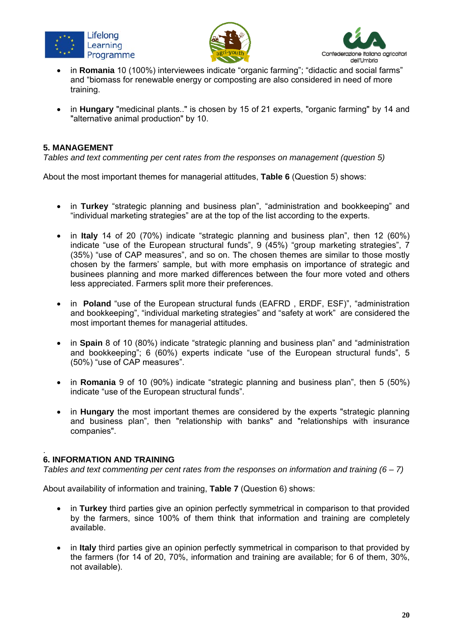





- in **Romania** 10 (100%) interviewees indicate "organic farming"; "didactic and social farms" and "biomass for renewable energy or composting are also considered in need of more training.
- in **Hungary** "medicinal plants.." is chosen by 15 of 21 experts, "organic farming" by 14 and "alternative animal production" by 10.

#### **5. MANAGEMENT**

*Tables and text commenting per cent rates from the responses on management (question 5)* 

About the most important themes for managerial attitudes, **Table 6** (Question 5) shows:

- in **Turkey** "strategic planning and business plan", "administration and bookkeeping" and "individual marketing strategies" are at the top of the list according to the experts.
- in **Italy** 14 of 20 (70%) indicate "strategic planning and business plan", then 12 (60%) indicate "use of the European structural funds", 9 (45%) "group marketing strategies", 7 (35%) "use of CAP measures", and so on. The chosen themes are similar to those mostly chosen by the farmers' sample, but with more emphasis on importance of strategic and businees planning and more marked differences between the four more voted and others less appreciated. Farmers split more their preferences.
- in **Poland** "use of the European structural funds (EAFRD, ERDF, ESF)", "administration and bookkeeping", "individual marketing strategies" and "safety at work" are considered the most important themes for managerial attitudes.
- in **Spain** 8 of 10 (80%) indicate "strategic planning and business plan" and "administration and bookkeeping"; 6 (60%) experts indicate "use of the European structural funds", 5 (50%) "use of CAP measures".
- in **Romania** 9 of 10 (90%) indicate "strategic planning and business plan", then 5 (50%) indicate "use of the European structural funds".
- in **Hungary** the most important themes are considered by the experts "strategic planning and business plan", then "relationship with banks" and "relationships with insurance companies".

#### . **6. INFORMATION AND TRAINING**

*Tables and text commenting per cent rates from the responses on information and training (6 – 7)* 

About availability of information and training, **Table 7** (Question 6) shows:

- in **Turkey** third parties give an opinion perfectly symmetrical in comparison to that provided by the farmers, since 100% of them think that information and training are completely available.
- in **Italy** third parties give an opinion perfectly symmetrical in comparison to that provided by the farmers (for 14 of 20, 70%, information and training are available; for 6 of them, 30%, not available).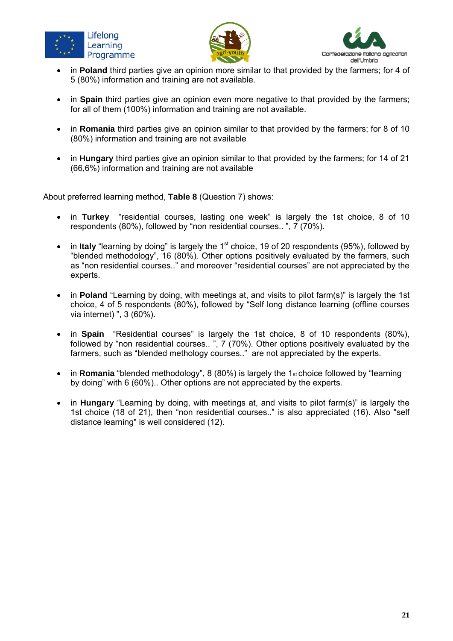





- in **Poland** third parties give an opinion more similar to that provided by the farmers; for 4 of 5 (80%) information and training are not available.
- in **Spain** third parties give an opinion even more negative to that provided by the farmers; for all of them (100%) information and training are not available.
- in **Romania** third parties give an opinion similar to that provided by the farmers; for 8 of 10 (80%) information and training are not available
- in **Hungary** third parties give an opinion similar to that provided by the farmers; for 14 of 21 (66,6%) information and training are not available

About preferred learning method, **Table 8** (Question 7) shows:

- in **Turkey** "residential courses, lasting one week" is largely the 1st choice, 8 of 10 respondents (80%), followed by "non residential courses.. ", 7 (70%).
- in Italy "learning by doing" is largely the 1<sup>st</sup> choice, 19 of 20 respondents (95%), followed by "blended methodology", 16 (80%). Other options positively evaluated by the farmers, such as "non residential courses.." and moreover "residential courses" are not appreciated by the experts.
- in **Poland** "Learning by doing, with meetings at, and visits to pilot farm(s)" is largely the 1st choice, 4 of 5 respondents (80%), followed by "Self long distance learning (offline courses via internet) ", 3 (60%).
- in **Spain** "Residential courses" is largely the 1st choice, 8 of 10 respondents (80%), followed by "non residential courses.. ", 7 (70%). Other options positively evaluated by the farmers, such as "blended methology courses.." are not appreciated by the experts.
- in **Romania** "blended methodology", 8 (80%) is largely the 1st choice followed by "learning by doing" with 6 (60%).. Other options are not appreciated by the experts.
- in **Hungary** "Learning by doing, with meetings at, and visits to pilot farm(s)" is largely the 1st choice (18 of 21), then "non residential courses.." is also appreciated (16). Also "self distance learning" is well considered (12).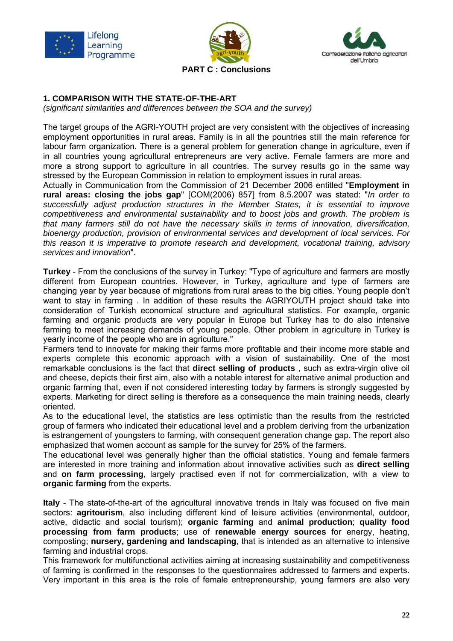





**PART C : Conclusions** 

## **1. COMPARISON WITH THE STATE-OF-THE-ART**

*(significant similarities and differences between the SOA and the survey)* 

The target groups of the AGRI-YOUTH project are very consistent with the objectives of increasing employment opportunities in rural areas. Family is in all the pountries still the main reference for labour farm organization. There is a general problem for generation change in agriculture, even if in all countries young agricultural entrepreneurs are very active. Female farmers are more and more a strong support to agriculture in all countries. The survey results go in the same way stressed by the European Commission in relation to employment issues in rural areas.

Actually in Communication from the Commission of 21 December 2006 entitled "**Employment in rural areas: closing the jobs gap**" [COM(2006) 857] from 8.5.2007 was stated: "*In order to successfully adjust production structures in the Member States, it is essential to improve competitiveness and environmental sustainability and to boost jobs and growth. The problem is that many farmers still do not have the necessary skills in terms of innovation, diversification, bioenergy production, provision of environmental services and development of local services. For this reason it is imperative to promote research and development, vocational training, advisory services and innovation*".

**Turkey** - From the conclusions of the survey in Turkey: "Type of agriculture and farmers are mostly different from European countries. However, in Turkey, agriculture and type of farmers are changing year by year because of migrations from rural areas to the big cities. Young people don't want to stay in farming . In addition of these results the AGRIYOUTH project should take into consideration of Turkish economical structure and agricultural statistics. For example, organic farming and organic products are very popular in Europe but Turkey has to do also intensive farming to meet increasing demands of young people. Other problem in agriculture in Turkey is yearly income of the people who are in agriculture."

Farmers tend to innovate for making their farms more profitable and their income more stable and experts complete this economic approach with a vision of sustainability. One of the most remarkable conclusions is the fact that **direct selling of products** , such as extra-virgin olive oil and cheese, depicts their first aim, also with a notable interest for alternative animal production and organic farming that, even if not considered interesting today by farmers is strongly suggested by experts. Marketing for direct selling is therefore as a consequence the main training needs, clearly oriented.

As to the educational level, the statistics are less optimistic than the results from the restricted group of farmers who indicated their educational level and a problem deriving from the urbanization is estrangement of youngsters to farming, with consequent generation change gap. The report also emphasized that women account as sample for the survey for 25% of the farmers.

The educational level was generally higher than the official statistics. Young and female farmers are interested in more training and information about innovative activities such as **direct selling**  and **on farm processing**, largely practised even if not for commercialization, with a view to **organic farming** from the experts.

**Italy** - The state-of-the-art of the agricultural innovative trends in Italy was focused on five main sectors: **agritourism**, also including different kind of leisure activities (environmental, outdoor, active, didactic and social tourism); **organic farming** and **animal production**; **quality food processing from farm products**; use of **renewable energy sources** for energy, heating, composting; **nursery, gardening and landscaping**, that is intended as an alternative to intensive farming and industrial crops.

This framework for multifunctional activities aiming at increasing sustainability and competitiveness of farming is confirmed in the responses to the questionnaires addressed to farmers and experts. Very important in this area is the role of female entrepreneurship, young farmers are also very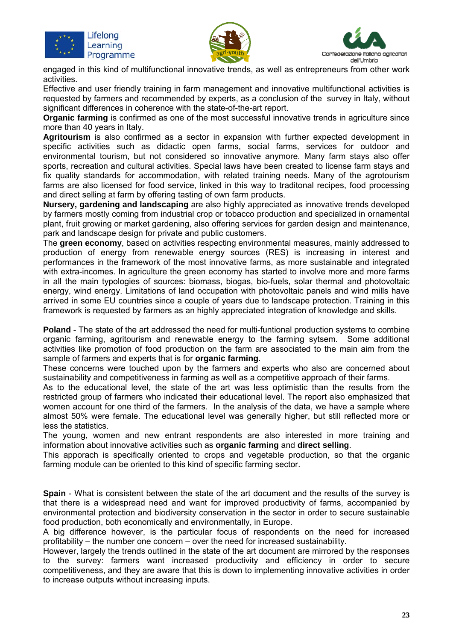





engaged in this kind of multifunctional innovative trends, as well as entrepreneurs from other work activities.

Effective and user friendly training in farm management and innovative multifunctional activities is requested by farmers and recommended by experts, as a conclusion of the survey in Italy, without significant differences in coherence with the state-of-the-art report.

**Organic farming** is confirmed as one of the most successful innovative trends in agriculture since more than 40 years in Italy.

**Agritourism** is also confirmed as a sector in expansion with further expected development in specific activities such as didactic open farms, social farms, services for outdoor and environmental tourism, but not considered so innovative anymore. Many farm stays also offer sports, recreation and cultural activities. Special laws have been created to license farm stays and fix quality standards for accommodation, with related training needs. Many of the agrotourism farms are also licensed for food service, linked in this way to traditonal recipes, food processing and direct selling at farm by offering tasting of own farm products.

**Nursery, gardening and landscaping** are also highly appreciated as innovative trends developed by farmers mostly coming from industrial crop or tobacco production and specialized in ornamental plant, fruit growing or market gardening, also offering services for garden design and maintenance, park and landscape design for private and public customers.

The **green economy**, based on activities respecting environmental measures, mainly addressed to production of energy from renewable energy sources (RES) is increasing in interest and performances in the framework of the most innovative farms, as more sustainable and integrated with extra-incomes. In agriculture the green economy has started to involve more and more farms in all the main typologies of sources: biomass, biogas, bio-fuels, solar thermal and photovoltaic energy, wind energy. Limitations of land occupation with photovoltaic panels and wind mills have arrived in some EU countries since a couple of years due to landscape protection. Training in this framework is requested by farmers as an highly appreciated integration of knowledge and skills.

**Poland** - The state of the art addressed the need for multi-funtional production systems to combine organic farming, agritourism and renewable energy to the farming sytsem. Some additional activities like promotion of food production on the farm are associated to the main aim from the sample of farmers and experts that is for **organic farming**.

These concerns were touched upon by the farmers and experts who also are concerned about sustainability and competitiveness in farming as well as a competitive approach of their farms.

As to the educational level, the state of the art was less optimistic than the results from the restricted group of farmers who indicated their educational level. The report also emphasized that women account for one third of the farmers. In the analysis of the data, we have a sample where almost 50% were female. The educational level was generally higher, but still reflected more or less the statistics.

The young, women and new entrant respondents are also interested in more training and information about innovative activities such as **organic farming** and **direct selling**.

This apporach is specifically oriented to crops and vegetable production, so that the organic farming module can be oriented to this kind of specific farming sector.

**Spain** - What is consistent between the state of the art document and the results of the survey is that there is a widespread need and want for improved productivity of farms, accompanied by environmental protection and biodiversity conservation in the sector in order to secure sustainable food production, both economically and environmentally, in Europe.

A big difference however, is the particular focus of respondents on the need for increased profitability – the number one concern – over the need for increased sustainability.

However, largely the trends outlined in the state of the art document are mirrored by the responses to the survey: farmers want increased productivity and efficiency in order to secure competitiveness, and they are aware that this is down to implementing innovative activities in order to increase outputs without increasing inputs.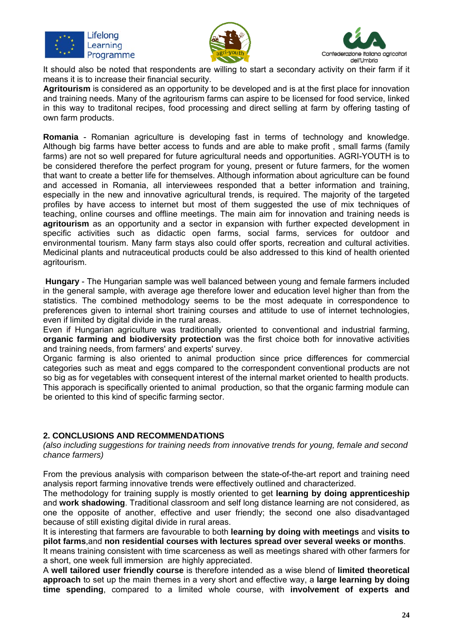





It should also be noted that respondents are willing to start a secondary activity on their farm if it means it is to increase their financial security.

**Agritourism** is considered as an opportunity to be developed and is at the first place for innovation and training needs. Many of the agritourism farms can aspire to be licensed for food service, linked in this way to traditonal recipes, food processing and direct selling at farm by offering tasting of own farm products.

**Romania** - Romanian agriculture is developing fast in terms of technology and knowledge. Although big farms have better access to funds and are able to make profit , small farms (family farms) are not so well prepared for future agricultural needs and opportunities. AGRI-YOUTH is to be considered therefore the perfect program for young, present or future farmers, for the women that want to create a better life for themselves. Although information about agriculture can be found and accessed in Romania, all interviewees responded that a better information and training, especially in the new and innovative agricultural trends, is required. The majority of the targeted profiles by have access to internet but most of them suggested the use of mix techniques of teaching, online courses and offline meetings. The main aim for innovation and training needs is **agritourism** as an opportunity and a sector in expansion with further expected development in specific activities such as didactic open farms, social farms, services for outdoor and environmental tourism. Many farm stays also could offer sports, recreation and cultural activities. Medicinal plants and nutraceutical products could be also addressed to this kind of health oriented agritourism.

**Hungary** - The Hungarian sample was well balanced between young and female farmers included in the general sample, with average age therefore lower and education level higher than from the statistics. The combined methodology seems to be the most adequate in correspondence to preferences given to internal short training courses and attitude to use of internet technologies, even if limited by digital divide in the rural areas.

Even if Hungarian agriculture was traditionally oriented to conventional and industrial farming, **organic farming and biodiversity protection** was the first choice both for innovative activities and training needs, from farmers' and experts' survey.

Organic farming is also oriented to animal production since price differences for commercial categories such as meat and eggs compared to the correspondent conventional products are not so big as for vegetables with consequent interest of the internal market oriented to health products. This apporach is specifically oriented to animal production, so that the organic farming module can be oriented to this kind of specific farming sector.

#### **2. CONCLUSIONS AND RECOMMENDATIONS**

*(also including suggestions for training needs from innovative trends for young, female and second chance farmers)* 

From the previous analysis with comparison between the state-of-the-art report and training need analysis report farming innovative trends were effectively outlined and characterized.

The methodology for training supply is mostly oriented to get **learning by doing apprenticeship** and **work shadowing**. Traditional classroom and self long distance learning are not considered, as one the opposite of another, effective and user friendly; the second one also disadvantaged because of still existing digital divide in rural areas.

It is interesting that farmers are favourable to both **learning by doing with meetings** and **visits to pilot farms**,and **non residential courses with lectures spread over several weeks or months**.

It means training consistent with time scarceness as well as meetings shared with other farmers for a short, one week full immersion are highly appreciated.

A **well tailored user friendly course** is therefore intended as a wise blend of **limited theoretical approach** to set up the main themes in a very short and effective way, a **large learning by doing time spending**, compared to a limited whole course, with **involvement of experts and**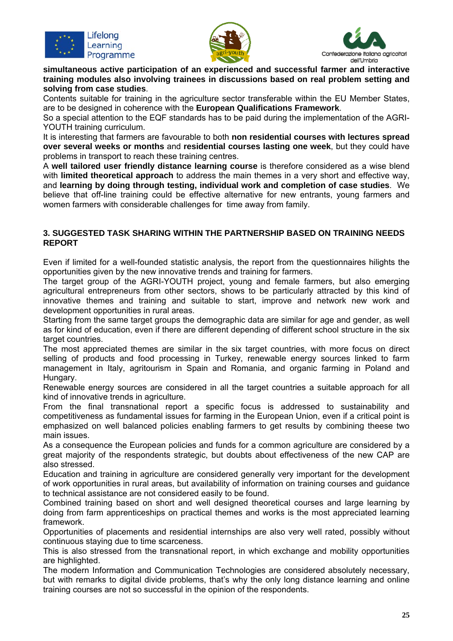





**simultaneous active participation of an experienced and successful farmer and interactive training modules also involving trainees in discussions based on real problem setting and solving from case studies**.

Contents suitable for training in the agriculture sector transferable within the EU Member States, are to be designed in coherence with the **European Qualifications Framework**.

So a special attention to the EQF standards has to be paid during the implementation of the AGRI-YOUTH training curriculum.

It is interesting that farmers are favourable to both **non residential courses with lectures spread over several weeks or months** and **residential courses lasting one week**, but they could have problems in transport to reach these training centres.

A **well tailored user friendly distance learning course** is therefore considered as a wise blend with **limited theoretical approach** to address the main themes in a very short and effective way, and **learning by doing through testing, individual work and completion of case studies**. We believe that off-line training could be effective alternative for new entrants, young farmers and women farmers with considerable challenges for time away from family.

#### **3. SUGGESTED TASK SHARING WITHIN THE PARTNERSHIP BASED ON TRAINING NEEDS REPORT**

Even if limited for a well-founded statistic analysis, the report from the questionnaires hilights the opportunities given by the new innovative trends and training for farmers.

The target group of the AGRI-YOUTH project, young and female farmers, but also emerging agricultural entrepreneurs from other sectors, shows to be particularly attracted by this kind of innovative themes and training and suitable to start, improve and network new work and development opportunities in rural areas.

Starting from the same target groups the demographic data are similar for age and gender, as well as for kind of education, even if there are different depending of different school structure in the six target countries.

The most appreciated themes are similar in the six target countries, with more focus on direct selling of products and food processing in Turkey, renewable energy sources linked to farm management in Italy, agritourism in Spain and Romania, and organic farming in Poland and Hungary.

Renewable energy sources are considered in all the target countries a suitable approach for all kind of innovative trends in agriculture.

From the final transnational report a specific focus is addressed to sustainability and competitiveness as fundamental issues for farming in the European Union, even if a critical point is emphasized on well balanced policies enabling farmers to get results by combining theese two main issues.

As a consequence the European policies and funds for a common agriculture are considered by a great majority of the respondents strategic, but doubts about effectiveness of the new CAP are also stressed.

Education and training in agriculture are considered generally very important for the development of work opportunities in rural areas, but availability of information on training courses and guidance to technical assistance are not considered easily to be found.

Combined training based on short and well designed theoretical courses and large learning by doing from farm apprenticeships on practical themes and works is the most appreciated learning framework.

Opportunities of placements and residential internships are also very well rated, possibly without continuous staying due to time scarceness.

This is also stressed from the transnational report, in which exchange and mobility opportunities are highlighted.

The modern Information and Communication Technologies are considered absolutely necessary, but with remarks to digital divide problems, that's why the only long distance learning and online training courses are not so successful in the opinion of the respondents.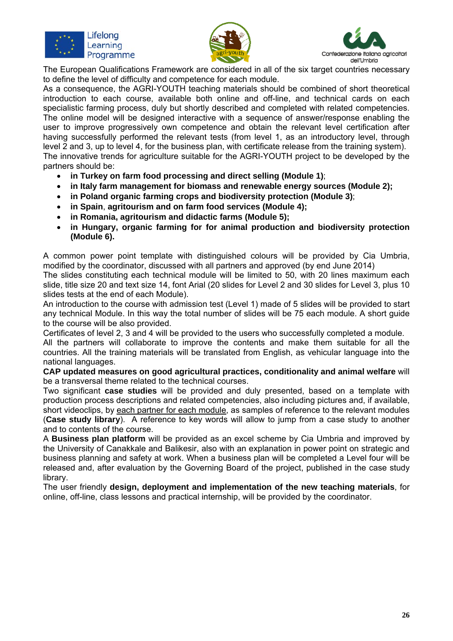





The European Qualifications Framework are considered in all of the six target countries necessary to define the level of difficulty and competence for each module.

As a consequence, the AGRI-YOUTH teaching materials should be combined of short theoretical introduction to each course, available both online and off-line, and technical cards on each specialistic farming process, duly but shortly described and completed with related competencies. The online model will be designed interactive with a sequence of answer/response enabling the user to improve progressively own competence and obtain the relevant level certification after having successfully performed the relevant tests (from level 1, as an introductory level, through level 2 and 3, up to level 4, for the business plan, with certificate release from the training system). The innovative trends for agriculture suitable for the AGRI-YOUTH project to be developed by the partners should be:

- **in Turkey on farm food processing and direct selling (Module 1)**;
- **in Italy farm management for biomass and renewable energy sources (Module 2);**
- **in Poland organic farming crops and biodiversity protection (Module 3)**;
- **in Spain**, **agritourism and on farm food services (Module 4);**
- **in Romania, agritourism and didactic farms (Module 5);**
- **in Hungary, organic farming for for animal production and biodiversity protection (Module 6).**

A common power point template with distinguished colours will be provided by Cia Umbria, modified by the coordinator, discussed with all partners and approved (by end June 2014) The slides constituting each technical module will be limited to 50, with 20 lines maximum each slide, title size 20 and text size 14, font Arial (20 slides for Level 2 and 30 slides for Level 3, plus 10

slides tests at the end of each Module). An introduction to the course with admission test (Level 1) made of 5 slides will be provided to start any technical Module. In this way the total number of slides will be 75 each module. A short guide to the course will be also provided.

Certificates of level 2, 3 and 4 will be provided to the users who successfully completed a module.

All the partners will collaborate to improve the contents and make them suitable for all the countries. All the training materials will be translated from English, as vehicular language into the national languages.

**CAP updated measures on good agricultural practices, conditionality and animal welfare** will be a transversal theme related to the technical courses.

Two significant **case studies** will be provided and duly presented, based on a template with production process descriptions and related competencies, also including pictures and, if available, short videoclips, by each partner for each module, as samples of reference to the relevant modules (**Case study library**). A reference to key words will allow to jump from a case study to another and to contents of the course.

A **Business plan platform** will be provided as an excel scheme by Cia Umbria and improved by the University of Canakkale and Balikesir, also with an explanation in power point on strategic and business planning and safety at work. When a business plan will be completed a Level four will be released and, after evaluation by the Governing Board of the project, published in the case study library.

The user friendly **design, deployment and implementation of the new teaching materials**, for online, off-line, class lessons and practical internship, will be provided by the coordinator.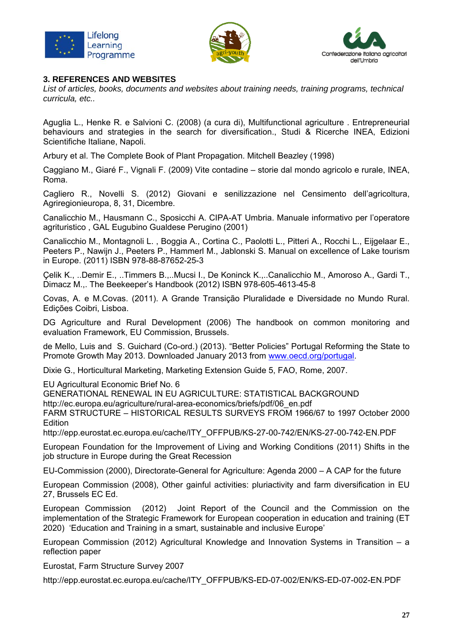





#### **3. REFERENCES AND WEBSITES**

*List of articles, books, documents and websites about training needs, training programs, technical curricula, etc..* 

Aguglia L., Henke R. e Salvioni C. (2008) (a cura di), Multifunctional agriculture . Entrepreneurial behaviours and strategies in the search for diversification., Studi & Ricerche INEA, Edizioni Scientifiche Italiane, Napoli.

Arbury et al. The Complete Book of Plant Propagation. Mitchell Beazley (1998)

Caggiano M., Giaré F., Vignali F. (2009) Vite contadine – storie dal mondo agricolo e rurale, INEA, Roma.

Cagliero R., Novelli S. (2012) Giovani e senilizzazione nel Censimento dell'agricoltura, Agriregionieuropa, 8, 31, Dicembre.

Canalicchio M., Hausmann C., Sposicchi A. CIPA-AT Umbria. Manuale informativo per l'operatore agrituristico , GAL Eugubino Gualdese Perugino (2001)

Canalicchio M., Montagnoli L. , Boggia A., Cortina C., Paolotti L., Pitteri A., Rocchi L., Eijgelaar E., Peeters P., Nawijn J., Peeters P., Hammerl M., Jablonski S. Manual on excellence of Lake tourism in Europe. (2011) ISBN 978-88-87652-25-3

Çelik K., ..Demir E., ..Timmers B.,..Mucsi I., De Koninck K.,..Canalicchio M., Amoroso A., Gardi T., Dimacz M.,. The Beekeeper's Handbook (2012) ISBN 978-605-4613-45-8

Covas, A. e M.Covas. (2011). A Grande Transição Pluralidade e Diversidade no Mundo Rural. Edições Coibri, Lisboa.

DG Agriculture and Rural Development (2006) The handbook on common monitoring and evaluation Framework, EU Commission, Brussels.

de Mello, Luis and S. Guichard (Co-ord.) (2013). "Better Policies" Portugal Reforming the State to Promote Growth May 2013. Downloaded January 2013 from www.oecd.org/portugal.

Dixie G., Horticultural Marketing, Marketing Extension Guide 5, FAO, Rome, 2007.

EU Agricultural Economic Brief No. 6

GENERATIONAL RENEWAL IN EU AGRICULTURE: STATISTICAL BACKGROUND

http://ec.europa.eu/agriculture/rural-area-economics/briefs/pdf/06\_en.pdf

FARM STRUCTURE – HISTORICAL RESULTS SURVEYS FROM 1966/67 to 1997 October 2000 Edition

http://epp.eurostat.ec.europa.eu/cache/ITY\_OFFPUB/KS-27-00-742/EN/KS-27-00-742-EN.PDF

European Foundation for the Improvement of Living and Working Conditions (2011) Shifts in the job structure in Europe during the Great Recession

EU-Commission (2000), Directorate-General for Agriculture: Agenda 2000 – A CAP for the future

European Commission (2008), Other gainful activities: pluriactivity and farm diversification in EU 27, Brussels EC Ed.

European Commission (2012) Joint Report of the Council and the Commission on the implementation of the Strategic Framework for European cooperation in education and training (ET 2020) 'Education and Training in a smart, sustainable and inclusive Europe'

European Commission (2012) Agricultural Knowledge and Innovation Systems in Transition – a reflection paper

Eurostat, Farm Structure Survey 2007

http://epp.eurostat.ec.europa.eu/cache/ITY\_OFFPUB/KS-ED-07-002/EN/KS-ED-07-002-EN.PDF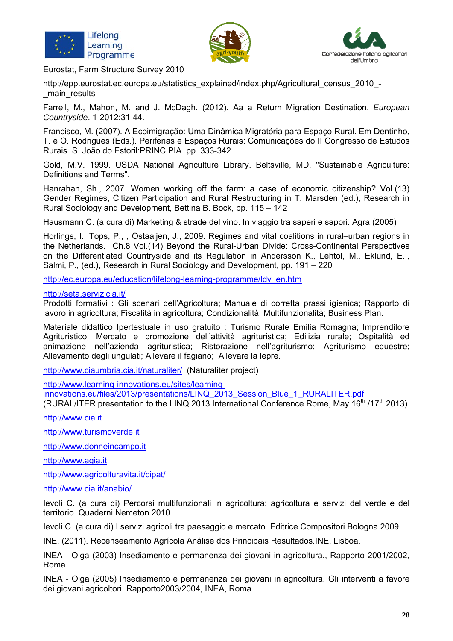





Eurostat, Farm Structure Survey 2010

http://epp.eurostat.ec.europa.eu/statistics\_explained/index.php/Agricultural\_census\_2010\_-\_main\_results

Farrell, M., Mahon, M. and J. McDagh. (2012). Aa a Return Migration Destination. *European Countryside*. 1-2012:31-44.

Francisco, M. (2007). A Ecoimigração: Uma Dinâmica Migratória para Espaço Rural. Em Dentinho, T. e O. Rodrigues (Eds.). Periferias e Espaços Rurais: Comunicações do II Congresso de Estudos Rurais. S. João do Estoril:PRINCIPIA. pp. 333-342.

Gold, M.V. 1999. USDA National Agriculture Library. Beltsville, MD. "Sustainable Agriculture: Definitions and Terms".

Hanrahan, Sh., 2007. Women working off the farm: a case of economic citizenship? Vol.(13) Gender Regimes, Citizen Participation and Rural Restructuring in T. Marsden (ed.), Research in Rural Sociology and Development, Bettina B. Bock, pp. 115 – 142

Hausmann C. (a cura di) Marketing & strade del vino. In viaggio tra saperi e sapori. Agra (2005)

Horlings, I., Tops, P., , Ostaaijen, J., 2009. Regimes and vital coalitions in rural–urban regions in the Netherlands.Ch.8 Vol.(14) Beyond the Rural-Urban Divide: Cross-Continental Perspectives on the Differentiated Countryside and its Regulation in Andersson K., Lehtol, M., Eklund, E.., Salmi, P., (ed.), Research in Rural Sociology and Development, pp. 191 – 220

http://ec.europa.eu/education/lifelong-learning-programme/ldv\_en.htm

http://seta.servizicia.it/

Prodotti formativi : Gli scenari dell'Agricoltura; Manuale di corretta prassi igienica; Rapporto di lavoro in agricoltura; Fiscalità in agricoltura; Condizionalità; Multifunzionalità; Business Plan.

Materiale didattico Ipertestuale in uso gratuito : Turismo Rurale Emilia Romagna; Imprenditore Agrituristico; Mercato e promozione dell'attività agrituristica; Edilizia rurale; Ospitalità ed animazione nell'azienda agrituristica; Ristorazione nell'agriturismo; Agriturismo equestre; Allevamento degli ungulati; Allevare il fagiano; Allevare la lepre.

http://www.ciaumbria.cia.it/naturaliter/ (Naturaliter project)

http://www.learning-innovations.eu/sites/learning-

innovations.eu/files/2013/presentations/LINQ\_2013\_Session\_Blue\_1\_RURALITER.pdf

(RURAL/ITER presentation to the LINQ 2013 International Conference Rome, May 16<sup>th</sup> /17<sup>th</sup> 2013)

http://www.cia.it

http://www.turismoverde.it

http://www.donneincampo.it

http://www.agia.it

http://www.agricolturavita.it/cipat/

http://www.cia.it/anabio/

Ievoli C. (a cura di) Percorsi multifunzionali in agricoltura: agricoltura e servizi del verde e del territorio. Quaderni Nemeton 2010.

Ievoli C. (a cura di) I servizi agricoli tra paesaggio e mercato. Editrice Compositori Bologna 2009.

INE. (2011). Recenseamento Agrícola Análise dos Principais Resultados.INE, Lisboa.

INEA - Oiga (2003) Insediamento e permanenza dei giovani in agricoltura., Rapporto 2001/2002, Roma.

INEA - Oiga (2005) Insediamento e permanenza dei giovani in agricoltura. Gli interventi a favore dei giovani agricoltori. Rapporto2003/2004, INEA, Roma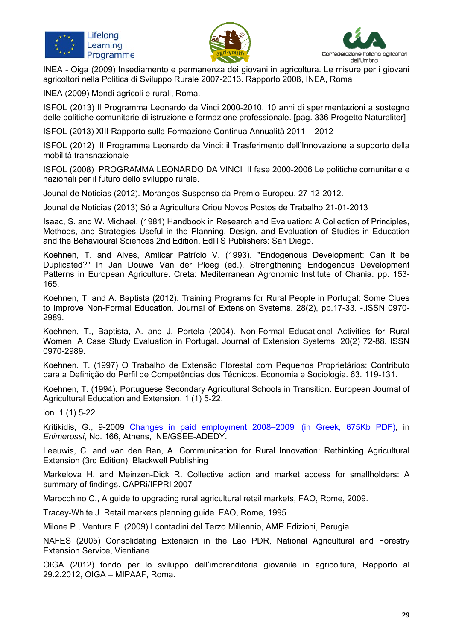





INEA - Oiga (2009) Insediamento e permanenza dei giovani in agricoltura. Le misure per i giovani agricoltori nella Politica di Sviluppo Rurale 2007-2013. Rapporto 2008, INEA, Roma

INEA (2009) Mondi agricoli e rurali, Roma.

ISFOL (2013) Il Programma Leonardo da Vinci 2000-2010. 10 anni di sperimentazioni a sostegno delle politiche comunitarie di istruzione e formazione professionale. [pag. 336 Progetto Naturaliter]

ISFOL (2013) XIII Rapporto sulla Formazione Continua Annualità 2011 – 2012

ISFOL (2012) Il Programma Leonardo da Vinci: il Trasferimento dell'Innovazione a supporto della mobilità transnazionale

ISFOL (2008) PROGRAMMA LEONARDO DA VINCI II fase 2000-2006 Le politiche comunitarie e nazionali per il futuro dello sviluppo rurale.

Jounal de Noticias (2012). Morangos Suspenso da Premio Europeu. 27-12-2012.

Jounal de Noticias (2013) Só a Agricultura Criou Novos Postos de Trabalho 21-01-2013

Isaac, S. and W. Michael. (1981) Handbook in Research and Evaluation: A Collection of Principles, Methods, and Strategies Useful in the Planning, Design, and Evaluation of Studies in Education and the Behavioural Sciences 2nd Edition. EdITS Publishers: San Diego.

Koehnen, T. and Alves, Amilcar Patrício V. (1993). "Endogenous Development: Can it be Duplicated?" In Jan Douwe Van der Ploeg (ed.), Strengthening Endogenous Development Patterns in European Agriculture. Creta: Mediterranean Agronomic Institute of Chania. pp. 153- 165.

Koehnen, T. and A. Baptista (2012). Training Programs for Rural People in Portugal: Some Clues to Improve Non-Formal Education. Journal of Extension Systems. 28(2), pp.17-33. -.ISSN 0970- 2989.

Koehnen, T., Baptista, A. and J. Portela (2004). Non-Formal Educational Activities for Rural Women: A Case Study Evaluation in Portugal. Journal of Extension Systems. 20(2) 72-88. ISSN 0970-2989.

Koehnen. T. (1997) O Trabalho de Extensão Florestal com Pequenos Proprietários: Contributo para a Definição do Perfil de Competências dos Técnicos. Economia e Sociologia. 63. 119-131.

Koehnen, T. (1994). Portuguese Secondary Agricultural Schools in Transition. European Journal of Agricultural Education and Extension. 1 (1) 5-22.

ion. 1 (1) 5-22.

Kritikidis, G., 9-2009 Changes in paid employment 2008–2009' (in Greek, 675Kb PDF), in *Enimerossi*, No. 166, Athens, INE/GSEE-ADEDY.

Leeuwis, C. and van den Ban, A. Communication for Rural Innovation: Rethinking Agricultural Extension (3rd Edition), Blackwell Publishing

Markelova H. and Meinzen-Dick R. Collective action and market access for smallholders: A summary of findings. CAPRi/IFPRI 2007

Marocchino C., A guide to upgrading rural agricultural retail markets, FAO, Rome, 2009.

Tracey-White J. Retail markets planning guide. FAO, Rome, 1995.

Milone P., Ventura F. (2009) I contadini del Terzo Millennio, AMP Edizioni, Perugia.

NAFES (2005) Consolidating Extension in the Lao PDR, National Agricultural and Forestry Extension Service, Vientiane

OIGA (2012) fondo per lo sviluppo dell'imprenditoria giovanile in agricoltura, Rapporto al 29.2.2012, OIGA – MIPAAF, Roma.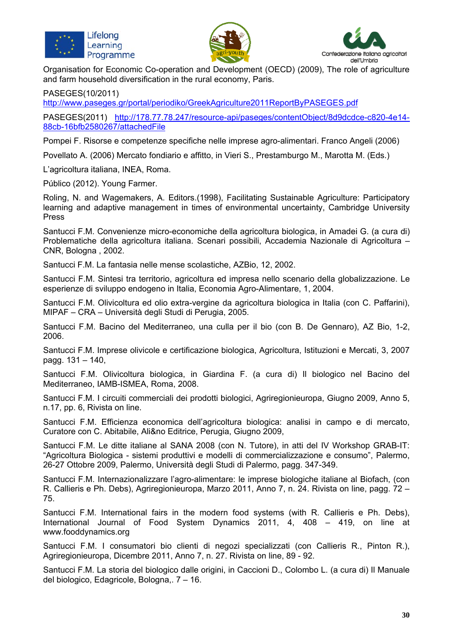





Organisation for Economic Co-operation and Development (OECD) (2009), The role of agriculture and farm household diversification in the rural economy, Paris.

PASEGES(10/2011)

http://www.paseges.gr/portal/periodiko/GreekAgriculture2011ReportByPASEGES.pdf

PASEGES(2011) http://178.77.78.247/resource-api/paseges/contentObject/8d9dcdce-c820-4e14- 88cb-16bfb2580267/attachedFile

Pompei F. Risorse e competenze specifiche nelle imprese agro-alimentari. Franco Angeli (2006)

Povellato A. (2006) Mercato fondiario e affitto, in Vieri S., Prestamburgo M., Marotta M. (Eds.)

L'agricoltura italiana, INEA, Roma.

Público (2012). Young Farmer.

Roling, N. and Wagemakers, A. Editors.(1998), Facilitating Sustainable Agriculture: Participatory learning and adaptive management in times of environmental uncertainty, Cambridge University Press

Santucci F.M. Convenienze micro-economiche della agricoltura biologica, in Amadei G. (a cura di) Problematiche della agricoltura italiana. Scenari possibili, Accademia Nazionale di Agricoltura – CNR, Bologna , 2002.

Santucci F.M. La fantasia nelle mense scolastiche, AZBio, 12, 2002.

Santucci F.M. Sintesi tra territorio, agricoltura ed impresa nello scenario della globalizzazione. Le esperienze di sviluppo endogeno in Italia, Economia Agro-Alimentare, 1, 2004.

Santucci F.M. Olivicoltura ed olio extra-vergine da agricoltura biologica in Italia (con C. Paffarini), MIPAF – CRA – Università degli Studi di Perugia, 2005.

Santucci F.M. Bacino del Mediterraneo, una culla per il bio (con B. De Gennaro), AZ Bio, 1-2, 2006.

Santucci F.M. Imprese olivicole e certificazione biologica, Agricoltura, Istituzioni e Mercati, 3, 2007 pagg. 131 – 140,

Santucci F.M. Olivicoltura biologica, in Giardina F. (a cura di) Il biologico nel Bacino del Mediterraneo, IAMB-ISMEA, Roma, 2008.

Santucci F.M. I circuiti commerciali dei prodotti biologici, Agriregionieuropa, Giugno 2009, Anno 5, n.17, pp. 6, Rivista on line.

Santucci F.M. Efficienza economica dell'agricoltura biologica: analisi in campo e di mercato, Curatore con C. Abitabile, Ali&no Editrice, Perugia, Giugno 2009,

Santucci F.M. Le ditte italiane al SANA 2008 (con N. Tutore), in atti del IV Workshop GRAB-IT: "Agricoltura Biologica - sistemi produttivi e modelli di commercializzazione e consumo", Palermo, 26-27 Ottobre 2009, Palermo, Università degli Studi di Palermo, pagg. 347-349.

Santucci F.M. Internazionalizzare l'agro-alimentare: le imprese biologiche italiane al Biofach, (con R. Callieris e Ph. Debs), Agriregionieuropa, Marzo 2011, Anno 7, n. 24. Rivista on line, pagg. 72 – 75.

Santucci F.M. International fairs in the modern food systems (with R. Callieris e Ph. Debs), International Journal of Food System Dynamics 2011, 4, 408 – 419, on line at www.fooddynamics.org

Santucci F.M. I consumatori bio clienti di negozi specializzati (con Callieris R., Pinton R.), Agriregionieuropa, Dicembre 2011, Anno 7, n. 27. Rivista on line, 89 - 92.

Santucci F.M. La storia del biologico dalle origini, in Caccioni D., Colombo L. (a cura di) Il Manuale del biologico, Edagricole, Bologna,. 7 – 16.